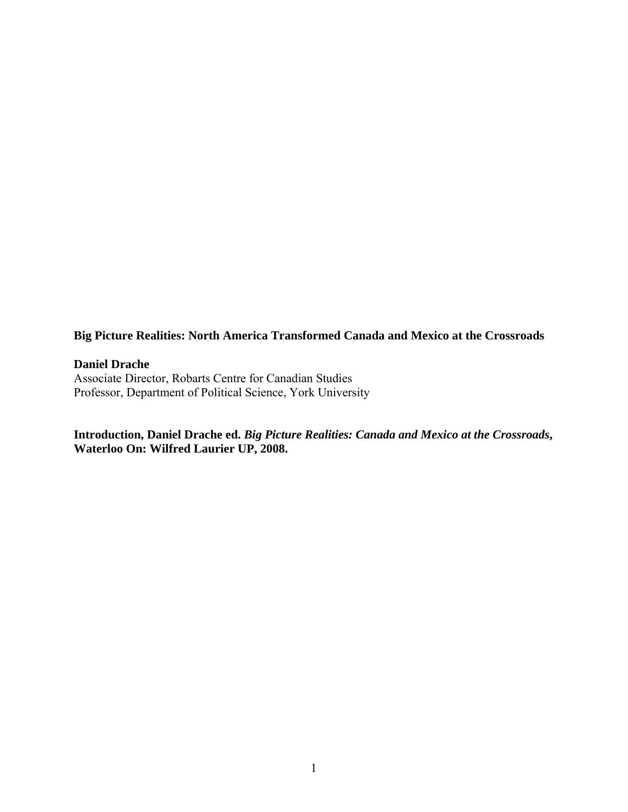**Big Picture Realities: North America Transformed Canada and Mexico at the Crossroads** 

**Daniel Drache** 

Associate Director, Robarts Centre for Canadian Studies Professor, Department of Political Science, York University

**Introduction, Daniel Drache ed.** *Big Picture Realities: Canada and Mexico at the Crossroads***, Waterloo On: Wilfred Laurier UP, 2008.**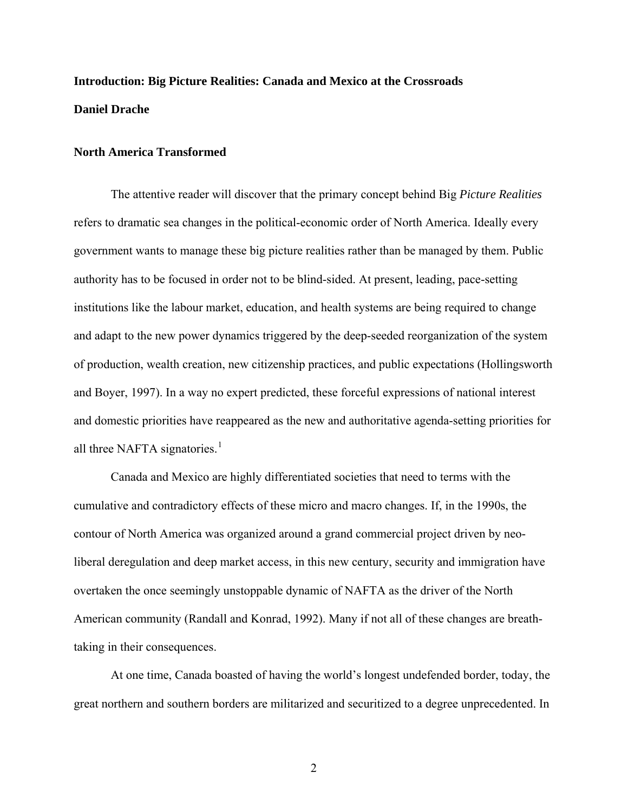# **Introduction: Big Picture Realities: Canada and Mexico at the Crossroads Daniel Drache**

# **North America Transformed**

The attentive reader will discover that the primary concept behind Big *Picture Realities* refers to dramatic sea changes in the political-economic order of North America. Ideally every government wants to manage these big picture realities rather than be managed by them. Public authority has to be focused in order not to be blind-sided. At present, leading, pace-setting institutions like the labour market, education, and health systems are being required to change and adapt to the new power dynamics triggered by the deep-seeded reorganization of the system of production, wealth creation, new citizenship practices, and public expectations (Hollingsworth and Boyer, 1997). In a way no expert predicted, these forceful expressions of national interest and domestic priorities have reappeared as the new and authoritative agenda-setting priorities for all three NAFTA signatories. $<sup>1</sup>$  $<sup>1</sup>$  $<sup>1</sup>$ </sup>

Canada and Mexico are highly differentiated societies that need to terms with the cumulative and contradictory effects of these micro and macro changes. If, in the 1990s, the contour of North America was organized around a grand commercial project driven by neoliberal deregulation and deep market access, in this new century, security and immigration have overtaken the once seemingly unstoppable dynamic of NAFTA as the driver of the North American community (Randall and Konrad, 1992). Many if not all of these changes are breathtaking in their consequences.

At one time, Canada boasted of having the world's longest undefended border, today, the great northern and southern borders are militarized and securitized to a degree unprecedented. In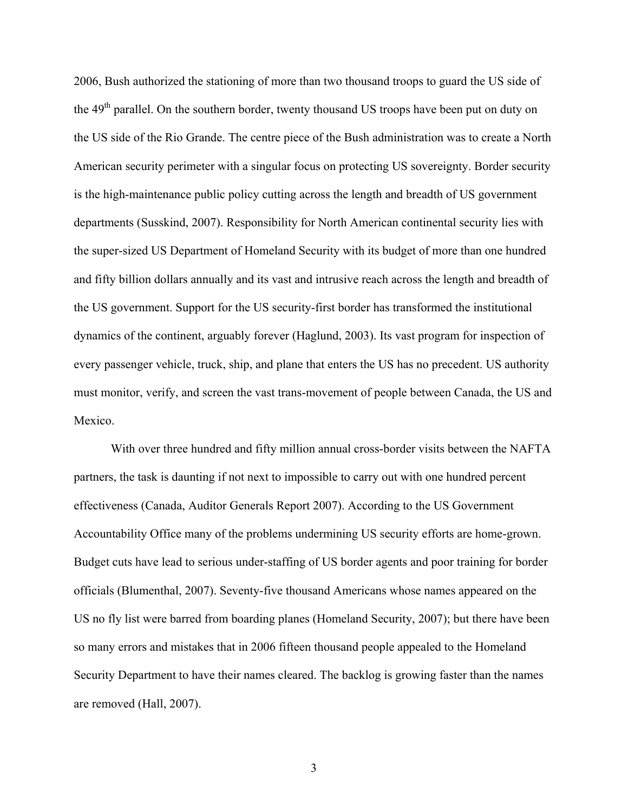2006, Bush authorized the stationing of more than two thousand troops to guard the US side of the 49<sup>th</sup> parallel. On the southern border, twenty thousand US troops have been put on duty on the US side of the Rio Grande. The centre piece of the Bush administration was to create a North American security perimeter with a singular focus on protecting US sovereignty. Border security is the high-maintenance public policy cutting across the length and breadth of US government departments (Susskind, 2007). Responsibility for North American continental security lies with the super-sized US Department of Homeland Security with its budget of more than one hundred and fifty billion dollars annually and its vast and intrusive reach across the length and breadth of the US government. Support for the US security-first border has transformed the institutional dynamics of the continent, arguably forever (Haglund, 2003). Its vast program for inspection of every passenger vehicle, truck, ship, and plane that enters the US has no precedent. US authority must monitor, verify, and screen the vast trans-movement of people between Canada, the US and Mexico.

With over three hundred and fifty million annual cross-border visits between the NAFTA partners, the task is daunting if not next to impossible to carry out with one hundred percent effectiveness (Canada, Auditor Generals Report 2007). According to the US Government Accountability Office many of the problems undermining US security efforts are home-grown. Budget cuts have lead to serious under-staffing of US border agents and poor training for border officials (Blumenthal, 2007). Seventy-five thousand Americans whose names appeared on the US no fly list were barred from boarding planes (Homeland Security, 2007); but there have been so many errors and mistakes that in 2006 fifteen thousand people appealed to the Homeland Security Department to have their names cleared. The backlog is growing faster than the names are removed (Hall, 2007).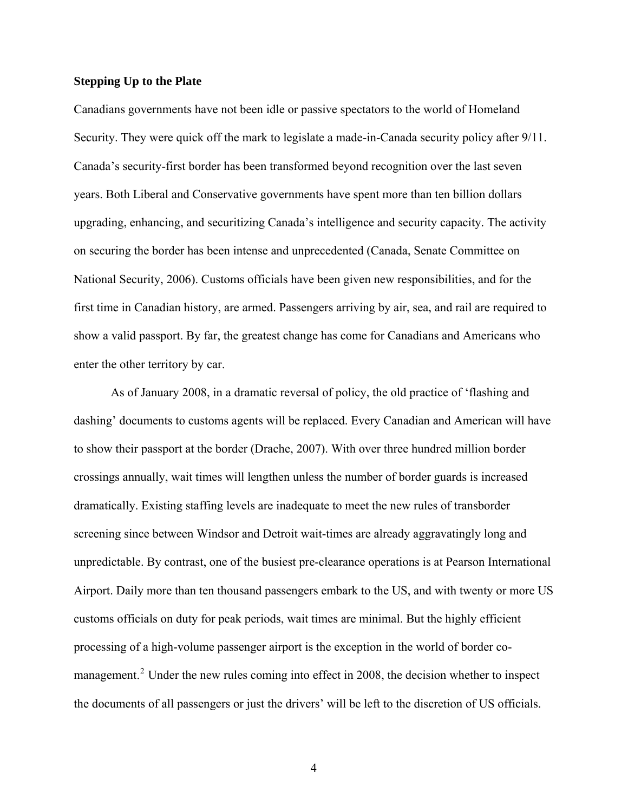# **Stepping Up to the Plate**

Canadians governments have not been idle or passive spectators to the world of Homeland Security. They were quick off the mark to legislate a made-in-Canada security policy after 9/11. Canada's security-first border has been transformed beyond recognition over the last seven years. Both Liberal and Conservative governments have spent more than ten billion dollars upgrading, enhancing, and securitizing Canada's intelligence and security capacity. The activity on securing the border has been intense and unprecedented (Canada, Senate Committee on National Security, 2006). Customs officials have been given new responsibilities, and for the first time in Canadian history, are armed. Passengers arriving by air, sea, and rail are required to show a valid passport. By far, the greatest change has come for Canadians and Americans who enter the other territory by car.

As of January 2008, in a dramatic reversal of policy, the old practice of 'flashing and dashing' documents to customs agents will be replaced. Every Canadian and American will have to show their passport at the border (Drache, 2007). With over three hundred million border crossings annually, wait times will lengthen unless the number of border guards is increased dramatically. Existing staffing levels are inadequate to meet the new rules of transborder screening since between Windsor and Detroit wait-times are already aggravatingly long and unpredictable. By contrast, one of the busiest pre-clearance operations is at Pearson International Airport. Daily more than ten thousand passengers embark to the US, and with twenty or more US customs officials on duty for peak periods, wait times are minimal. But the highly efficient processing of a high-volume passenger airport is the exception in the world of border co-management.<sup>[2](#page-47-1)</sup> Under the new rules coming into effect in 2008, the decision whether to inspect the documents of all passengers or just the drivers' will be left to the discretion of US officials.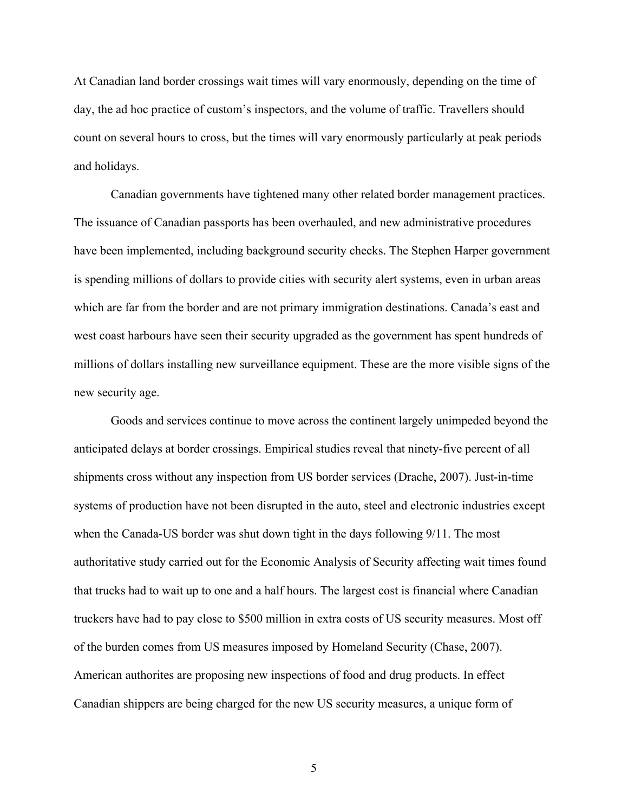At Canadian land border crossings wait times will vary enormously, depending on the time of day, the ad hoc practice of custom's inspectors, and the volume of traffic. Travellers should count on several hours to cross, but the times will vary enormously particularly at peak periods and holidays.

Canadian governments have tightened many other related border management practices. The issuance of Canadian passports has been overhauled, and new administrative procedures have been implemented, including background security checks. The Stephen Harper government is spending millions of dollars to provide cities with security alert systems, even in urban areas which are far from the border and are not primary immigration destinations. Canada's east and west coast harbours have seen their security upgraded as the government has spent hundreds of millions of dollars installing new surveillance equipment. These are the more visible signs of the new security age.

Goods and services continue to move across the continent largely unimpeded beyond the anticipated delays at border crossings. Empirical studies reveal that ninety-five percent of all shipments cross without any inspection from US border services (Drache, 2007). Just-in-time systems of production have not been disrupted in the auto, steel and electronic industries except when the Canada-US border was shut down tight in the days following 9/11. The most authoritative study carried out for the Economic Analysis of Security affecting wait times found that trucks had to wait up to one and a half hours. The largest cost is financial where Canadian truckers have had to pay close to \$500 million in extra costs of US security measures. Most off of the burden comes from US measures imposed by Homeland Security (Chase, 2007). American authorites are proposing new inspections of food and drug products. In effect Canadian shippers are being charged for the new US security measures, a unique form of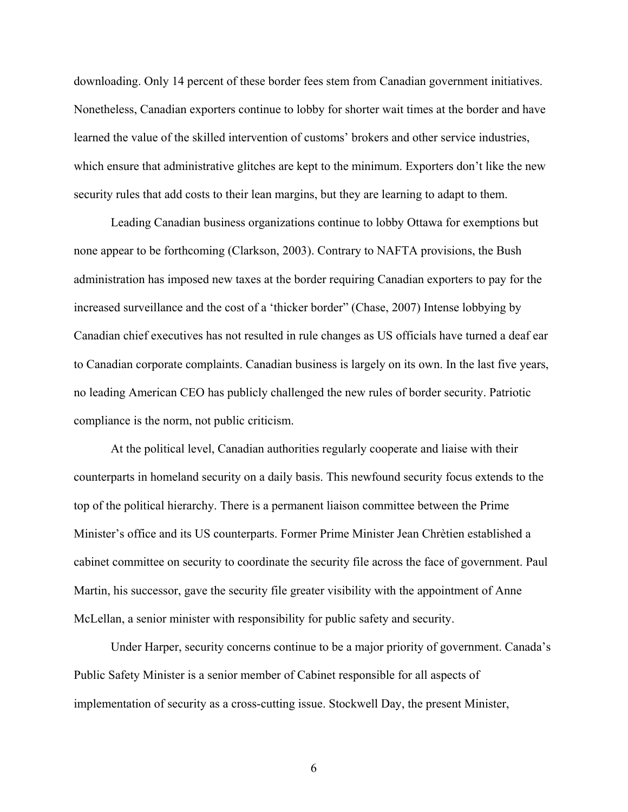downloading. Only 14 percent of these border fees stem from Canadian government initiatives. Nonetheless, Canadian exporters continue to lobby for shorter wait times at the border and have learned the value of the skilled intervention of customs' brokers and other service industries, which ensure that administrative glitches are kept to the minimum. Exporters don't like the new security rules that add costs to their lean margins, but they are learning to adapt to them.

Leading Canadian business organizations continue to lobby Ottawa for exemptions but none appear to be forthcoming (Clarkson, 2003). Contrary to NAFTA provisions, the Bush administration has imposed new taxes at the border requiring Canadian exporters to pay for the increased surveillance and the cost of a 'thicker border" (Chase, 2007) Intense lobbying by Canadian chief executives has not resulted in rule changes as US officials have turned a deaf ear to Canadian corporate complaints. Canadian business is largely on its own. In the last five years, no leading American CEO has publicly challenged the new rules of border security. Patriotic compliance is the norm, not public criticism.

At the political level, Canadian authorities regularly cooperate and liaise with their counterparts in homeland security on a daily basis. This newfound security focus extends to the top of the political hierarchy. There is a permanent liaison committee between the Prime Minister's office and its US counterparts. Former Prime Minister Jean Chrètien established a cabinet committee on security to coordinate the security file across the face of government. Paul Martin, his successor, gave the security file greater visibility with the appointment of Anne McLellan, a senior minister with responsibility for public safety and security.

Under Harper, security concerns continue to be a major priority of government. Canada's Public Safety Minister is a senior member of Cabinet responsible for all aspects of implementation of security as a cross-cutting issue. Stockwell Day, the present Minister,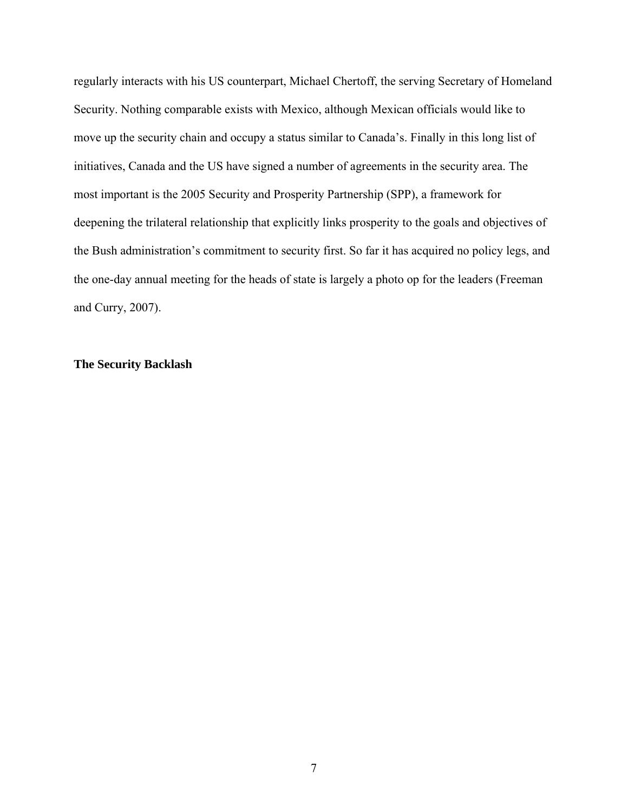regularly interacts with his US counterpart, Michael Chertoff, the serving Secretary of Homeland Security. Nothing comparable exists with Mexico, although Mexican officials would like to move up the security chain and occupy a status similar to Canada's. Finally in this long list of initiatives, Canada and the US have signed a number of agreements in the security area. The most important is the 2005 Security and Prosperity Partnership (SPP), a framework for deepening the trilateral relationship that explicitly links prosperity to the goals and objectives of the Bush administration's commitment to security first. So far it has acquired no policy legs, and the one-day annual meeting for the heads of state is largely a photo op for the leaders (Freeman and Curry, 2007).

# **The Security Backlash**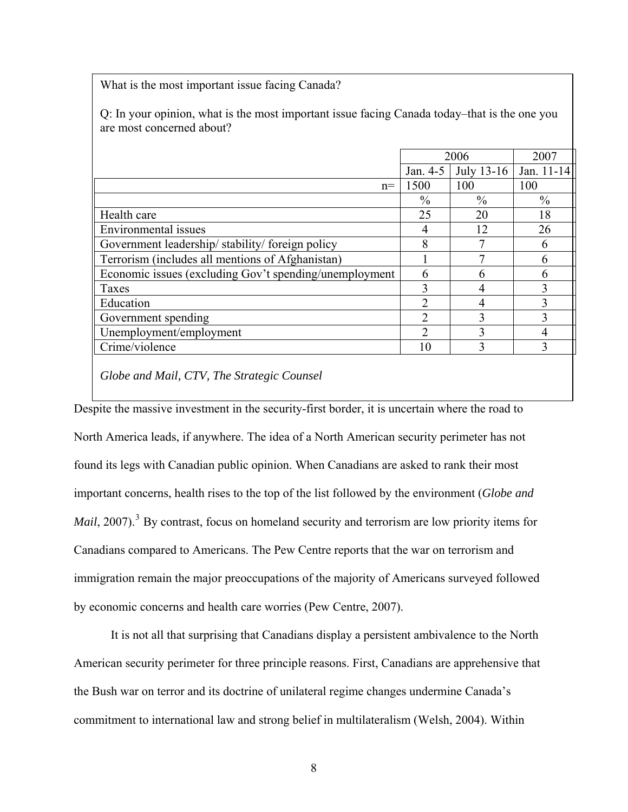What is the most important issue facing Canada?

Q: In your opinion, what is the most important issue facing Canada today–that is the one you are most concerned about?

|                                                        | 2006          |                       | 2007         |  |
|--------------------------------------------------------|---------------|-----------------------|--------------|--|
|                                                        |               | Jan. $4-5$ July 13-16 | Jan. 11-14   |  |
| $n =$                                                  | 1500          | 100                   | 100          |  |
|                                                        | $\frac{0}{0}$ | $\frac{0}{0}$         | $\%$         |  |
| Health care                                            | 25            | 20                    | 18           |  |
| Environmental issues                                   | 4             | 12                    | 26           |  |
| Government leadership/stability/foreign policy         | 8             | 7                     | 6            |  |
| Terrorism (includes all mentions of Afghanistan)       |               |                       | 6            |  |
| Economic issues (excluding Gov't spending/unemployment | 6             | 6                     | 6            |  |
| Taxes                                                  |               | 4                     | 3            |  |
| Education                                              | っ             | 4                     | $\mathbf{3}$ |  |
| Government spending                                    | າ             | 3                     |              |  |
| Unemployment/employment                                | ∍             | ζ                     |              |  |
| Crime/violence                                         | 10            | 3                     | 3            |  |
|                                                        |               |                       |              |  |

*Globe and Mail, CTV, The Strategic Counsel* 

Despite the massive investment in the security-first border, it is uncertain where the road to North America leads, if anywhere. The idea of a North American security perimeter has not found its legs with Canadian public opinion. When Canadians are asked to rank their most important concerns, health rises to the top of the list followed by the environment (*Globe and Mail*, 2007).<sup>[3](#page-47-1)</sup> By contrast, focus on homeland security and terrorism are low priority items for Canadians compared to Americans. The Pew Centre reports that the war on terrorism and immigration remain the major preoccupations of the majority of Americans surveyed followed by economic concerns and health care worries (Pew Centre, 2007).

It is not all that surprising that Canadians display a persistent ambivalence to the North American security perimeter for three principle reasons. First, Canadians are apprehensive that the Bush war on terror and its doctrine of unilateral regime changes undermine Canada's commitment to international law and strong belief in multilateralism (Welsh, 2004). Within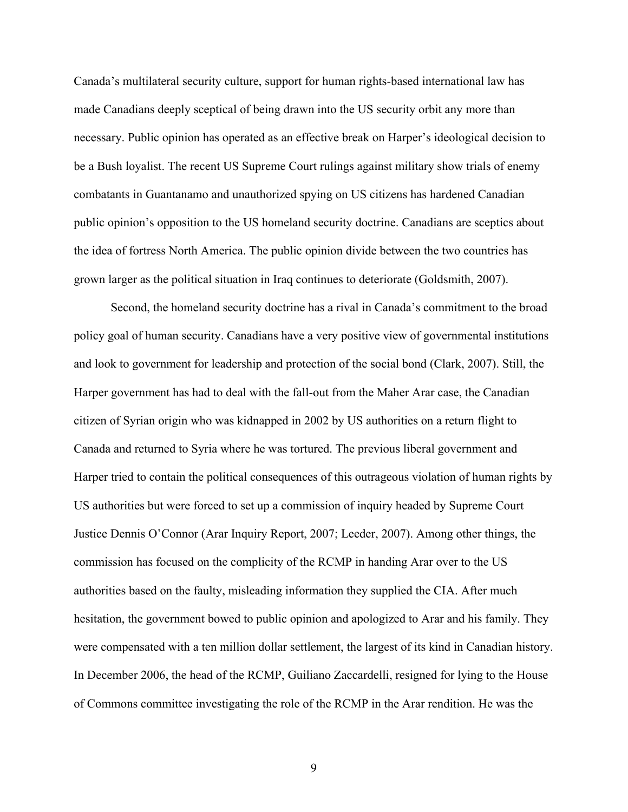Canada's multilateral security culture, support for human rights-based international law has made Canadians deeply sceptical of being drawn into the US security orbit any more than necessary. Public opinion has operated as an effective break on Harper's ideological decision to be a Bush loyalist. The recent US Supreme Court rulings against military show trials of enemy combatants in Guantanamo and unauthorized spying on US citizens has hardened Canadian public opinion's opposition to the US homeland security doctrine. Canadians are sceptics about the idea of fortress North America. The public opinion divide between the two countries has grown larger as the political situation in Iraq continues to deteriorate (Goldsmith, 2007).

Second, the homeland security doctrine has a rival in Canada's commitment to the broad policy goal of human security. Canadians have a very positive view of governmental institutions and look to government for leadership and protection of the social bond (Clark, 2007). Still, the Harper government has had to deal with the fall-out from the Maher Arar case, the Canadian citizen of Syrian origin who was kidnapped in 2002 by US authorities on a return flight to Canada and returned to Syria where he was tortured. The previous liberal government and Harper tried to contain the political consequences of this outrageous violation of human rights by US authorities but were forced to set up a commission of inquiry headed by Supreme Court Justice Dennis O'Connor (Arar Inquiry Report, 2007; Leeder, 2007). Among other things, the commission has focused on the complicity of the RCMP in handing Arar over to the US authorities based on the faulty, misleading information they supplied the CIA. After much hesitation, the government bowed to public opinion and apologized to Arar and his family. They were compensated with a ten million dollar settlement, the largest of its kind in Canadian history. In December 2006, the head of the RCMP, Guiliano Zaccardelli, resigned for lying to the House of Commons committee investigating the role of the RCMP in the Arar rendition. He was the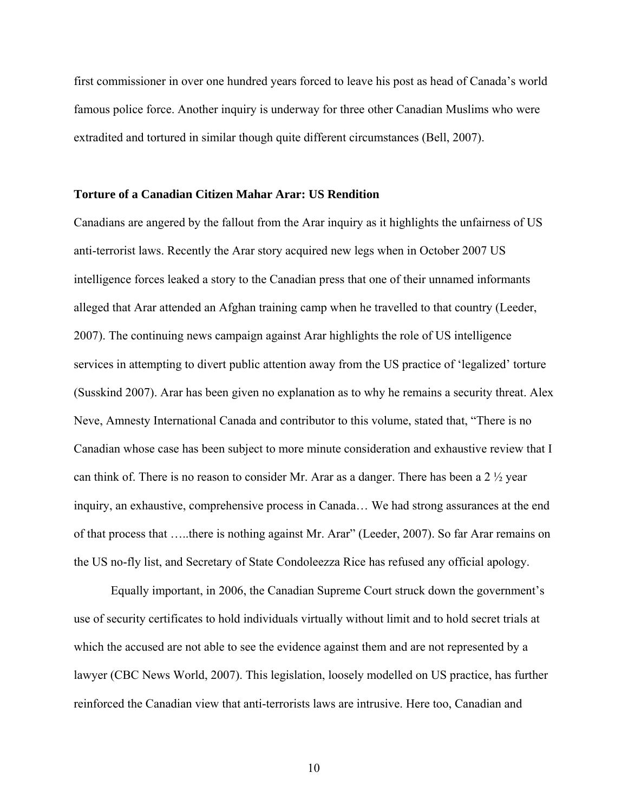first commissioner in over one hundred years forced to leave his post as head of Canada's world famous police force. Another inquiry is underway for three other Canadian Muslims who were extradited and tortured in similar though quite different circumstances (Bell, 2007).

# **Torture of a Canadian Citizen Mahar Arar: US Rendition**

Canadians are angered by the fallout from the Arar inquiry as it highlights the unfairness of US anti-terrorist laws. Recently the Arar story acquired new legs when in October 2007 US intelligence forces leaked a story to the Canadian press that one of their unnamed informants alleged that Arar attended an Afghan training camp when he travelled to that country (Leeder, 2007). The continuing news campaign against Arar highlights the role of US intelligence services in attempting to divert public attention away from the US practice of 'legalized' torture (Susskind 2007). Arar has been given no explanation as to why he remains a security threat. Alex Neve, Amnesty International Canada and contributor to this volume, stated that, "There is no Canadian whose case has been subject to more minute consideration and exhaustive review that I can think of. There is no reason to consider Mr. Arar as a danger. There has been a 2 ½ year inquiry, an exhaustive, comprehensive process in Canada… We had strong assurances at the end of that process that …..there is nothing against Mr. Arar" (Leeder, 2007). So far Arar remains on the US no-fly list, and Secretary of State Condoleezza Rice has refused any official apology.

Equally important, in 2006, the Canadian Supreme Court struck down the government's use of security certificates to hold individuals virtually without limit and to hold secret trials at which the accused are not able to see the evidence against them and are not represented by a lawyer (CBC News World, 2007). This legislation, loosely modelled on US practice, has further reinforced the Canadian view that anti-terrorists laws are intrusive. Here too, Canadian and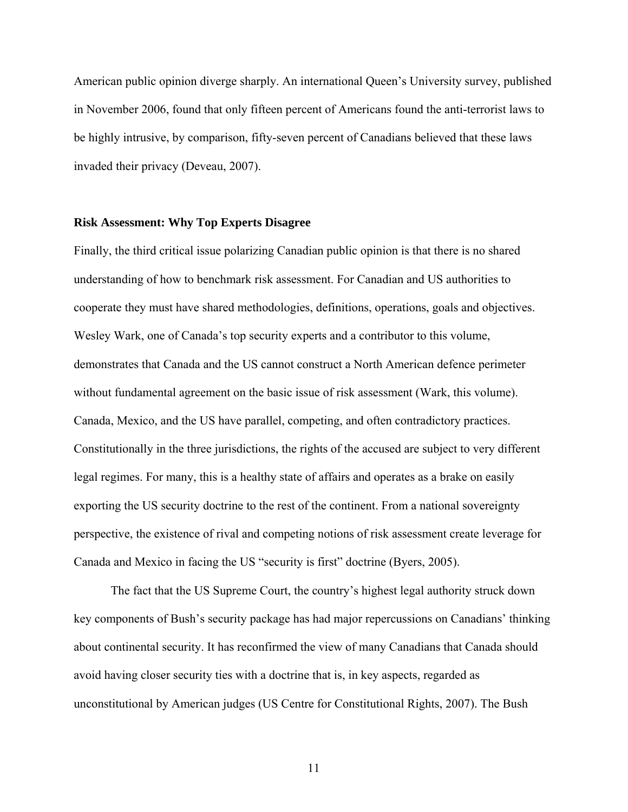American public opinion diverge sharply. An international Queen's University survey, published in November 2006, found that only fifteen percent of Americans found the anti-terrorist laws to be highly intrusive, by comparison, fifty-seven percent of Canadians believed that these laws invaded their privacy (Deveau, 2007).

# **Risk Assessment: Why Top Experts Disagree**

Finally, the third critical issue polarizing Canadian public opinion is that there is no shared understanding of how to benchmark risk assessment. For Canadian and US authorities to cooperate they must have shared methodologies, definitions, operations, goals and objectives. Wesley Wark, one of Canada's top security experts and a contributor to this volume, demonstrates that Canada and the US cannot construct a North American defence perimeter without fundamental agreement on the basic issue of risk assessment (Wark, this volume). Canada, Mexico, and the US have parallel, competing, and often contradictory practices. Constitutionally in the three jurisdictions, the rights of the accused are subject to very different legal regimes. For many, this is a healthy state of affairs and operates as a brake on easily exporting the US security doctrine to the rest of the continent. From a national sovereignty perspective, the existence of rival and competing notions of risk assessment create leverage for Canada and Mexico in facing the US "security is first" doctrine (Byers, 2005).

The fact that the US Supreme Court, the country's highest legal authority struck down key components of Bush's security package has had major repercussions on Canadians' thinking about continental security. It has reconfirmed the view of many Canadians that Canada should avoid having closer security ties with a doctrine that is, in key aspects, regarded as unconstitutional by American judges (US Centre for Constitutional Rights, 2007). The Bush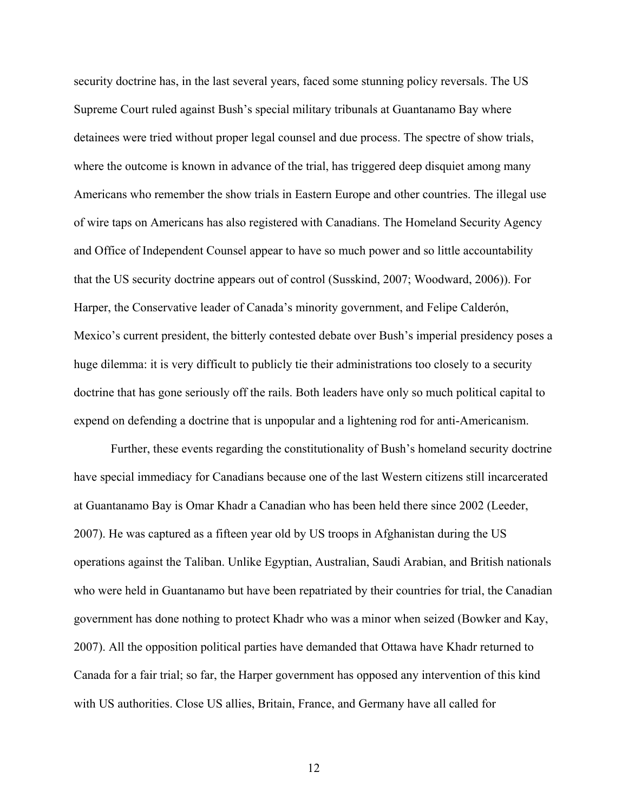security doctrine has, in the last several years, faced some stunning policy reversals. The US Supreme Court ruled against Bush's special military tribunals at Guantanamo Bay where detainees were tried without proper legal counsel and due process. The spectre of show trials, where the outcome is known in advance of the trial, has triggered deep disquiet among many Americans who remember the show trials in Eastern Europe and other countries. The illegal use of wire taps on Americans has also registered with Canadians. The Homeland Security Agency and Office of Independent Counsel appear to have so much power and so little accountability that the US security doctrine appears out of control (Susskind, 2007; Woodward, 2006)). For Harper, the Conservative leader of Canada's minority government, and Felipe Calderón, Mexico's current president, the bitterly contested debate over Bush's imperial presidency poses a huge dilemma: it is very difficult to publicly tie their administrations too closely to a security doctrine that has gone seriously off the rails. Both leaders have only so much political capital to expend on defending a doctrine that is unpopular and a lightening rod for anti-Americanism.

 Further, these events regarding the constitutionality of Bush's homeland security doctrine have special immediacy for Canadians because one of the last Western citizens still incarcerated at Guantanamo Bay is Omar Khadr a Canadian who has been held there since 2002 (Leeder, 2007). He was captured as a fifteen year old by US troops in Afghanistan during the US operations against the Taliban. Unlike Egyptian, Australian, Saudi Arabian, and British nationals who were held in Guantanamo but have been repatriated by their countries for trial, the Canadian government has done nothing to protect Khadr who was a minor when seized (Bowker and Kay, 2007). All the opposition political parties have demanded that Ottawa have Khadr returned to Canada for a fair trial; so far, the Harper government has opposed any intervention of this kind with US authorities. Close US allies, Britain, France, and Germany have all called for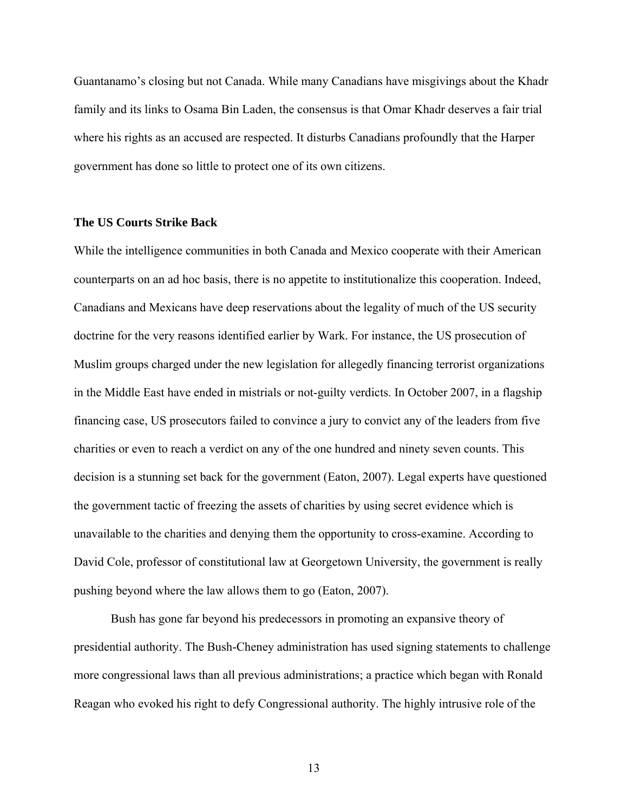Guantanamo's closing but not Canada. While many Canadians have misgivings about the Khadr family and its links to Osama Bin Laden, the consensus is that Omar Khadr deserves a fair trial where his rights as an accused are respected. It disturbs Canadians profoundly that the Harper government has done so little to protect one of its own citizens.

# **The US Courts Strike Back**

While the intelligence communities in both Canada and Mexico cooperate with their American counterparts on an ad hoc basis, there is no appetite to institutionalize this cooperation. Indeed, Canadians and Mexicans have deep reservations about the legality of much of the US security doctrine for the very reasons identified earlier by Wark. For instance, the US prosecution of Muslim groups charged under the new legislation for allegedly financing terrorist organizations in the Middle East have ended in mistrials or not-guilty verdicts. In October 2007, in a flagship financing case, US prosecutors failed to convince a jury to convict any of the leaders from five charities or even to reach a verdict on any of the one hundred and ninety seven counts. This decision is a stunning set back for the government (Eaton, 2007). Legal experts have questioned the government tactic of freezing the assets of charities by using secret evidence which is unavailable to the charities and denying them the opportunity to cross-examine. According to David Cole, professor of constitutional law at Georgetown University, the government is really pushing beyond where the law allows them to go (Eaton, 2007).

Bush has gone far beyond his predecessors in promoting an expansive theory of presidential authority. The Bush-Cheney administration has used signing statements to challenge more congressional laws than all previous administrations; a practice which began with Ronald Reagan who evoked his right to defy Congressional authority. The highly intrusive role of the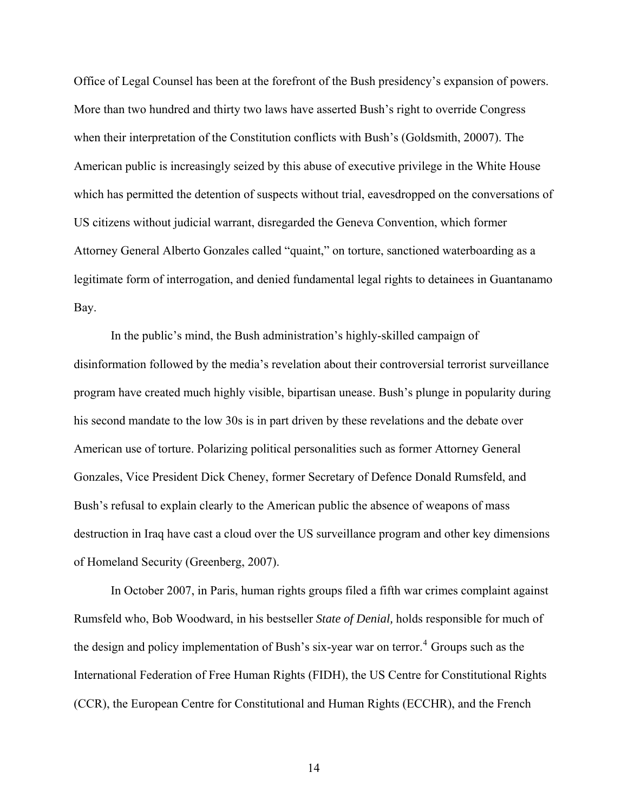Office of Legal Counsel has been at the forefront of the Bush presidency's expansion of powers. More than two hundred and thirty two laws have asserted Bush's right to override Congress when their interpretation of the Constitution conflicts with Bush's (Goldsmith, 20007). The American public is increasingly seized by this abuse of executive privilege in the White House which has permitted the detention of suspects without trial, eavesdropped on the conversations of US citizens without judicial warrant, disregarded the Geneva Convention, which former Attorney General Alberto Gonzales called "quaint," on torture, sanctioned waterboarding as a legitimate form of interrogation, and denied fundamental legal rights to detainees in Guantanamo Bay.

In the public's mind, the Bush administration's highly-skilled campaign of disinformation followed by the media's revelation about their controversial terrorist surveillance program have created much highly visible, bipartisan unease. Bush's plunge in popularity during his second mandate to the low 30s is in part driven by these revelations and the debate over American use of torture. Polarizing political personalities such as former Attorney General Gonzales, Vice President Dick Cheney, former Secretary of Defence Donald Rumsfeld, and Bush's refusal to explain clearly to the American public the absence of weapons of mass destruction in Iraq have cast a cloud over the US surveillance program and other key dimensions of Homeland Security (Greenberg, 2007).

In October 2007, in Paris, human rights groups filed a fifth war crimes complaint against Rumsfeld who, Bob Woodward, in his bestseller *State of Denial,* holds responsible for much of the design and policy implementation of Bush's six-year war on terror.<sup>[4](#page-47-1)</sup> Groups such as the International Federation of Free Human Rights (FIDH), the US Centre for Constitutional Rights (CCR), the European Centre for Constitutional and Human Rights (ECCHR), and the French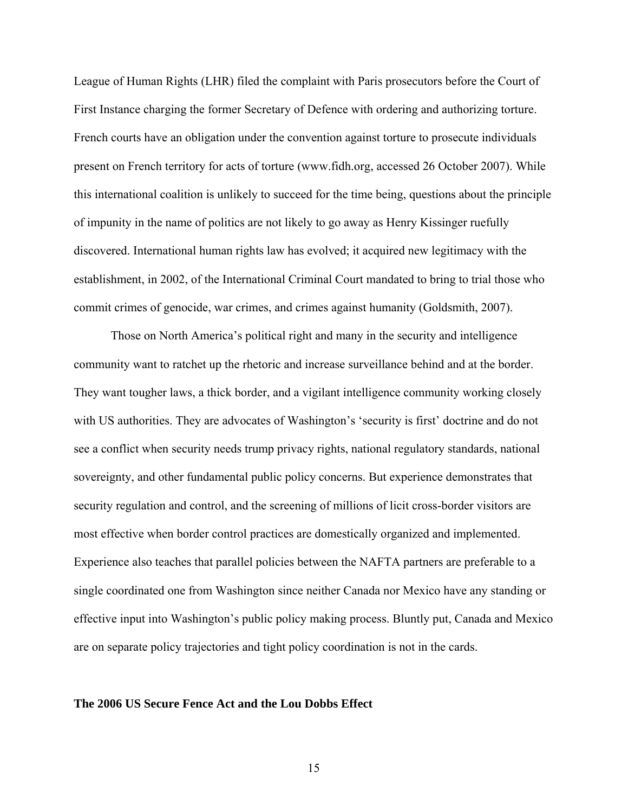League of Human Rights (LHR) filed the complaint with Paris prosecutors before the Court of First Instance charging the former Secretary of Defence with ordering and authorizing torture. French courts have an obligation under the convention against torture to prosecute individuals present on French territory for acts of torture [\(www.fidh.org](http://www.fidh.org/), accessed 26 October 2007). While this international coalition is unlikely to succeed for the time being, questions about the principle of impunity in the name of politics are not likely to go away as Henry Kissinger ruefully discovered. International human rights law has evolved; it acquired new legitimacy with the establishment, in 2002, of the International Criminal Court mandated to bring to trial those who commit crimes of genocide, war crimes, and crimes against humanity (Goldsmith, 2007).

Those on North America's political right and many in the security and intelligence community want to ratchet up the rhetoric and increase surveillance behind and at the border. They want tougher laws, a thick border, and a vigilant intelligence community working closely with US authorities. They are advocates of Washington's 'security is first' doctrine and do not see a conflict when security needs trump privacy rights, national regulatory standards, national sovereignty, and other fundamental public policy concerns. But experience demonstrates that security regulation and control, and the screening of millions of licit cross-border visitors are most effective when border control practices are domestically organized and implemented. Experience also teaches that parallel policies between the NAFTA partners are preferable to a single coordinated one from Washington since neither Canada nor Mexico have any standing or effective input into Washington's public policy making process. Bluntly put, Canada and Mexico are on separate policy trajectories and tight policy coordination is not in the cards.

# **The 2006 US Secure Fence Act and the Lou Dobbs Effect**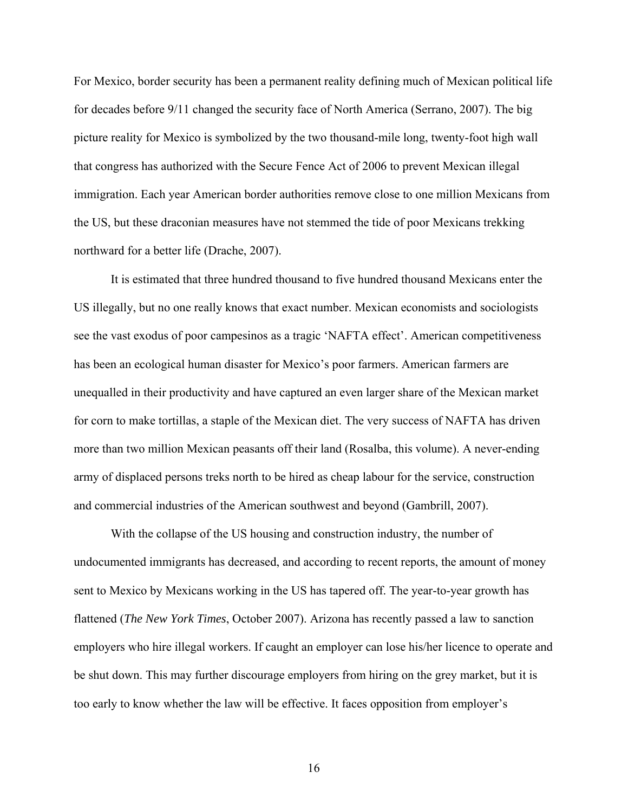For Mexico, border security has been a permanent reality defining much of Mexican political life for decades before 9/11 changed the security face of North America (Serrano, 2007). The big picture reality for Mexico is symbolized by the two thousand-mile long, twenty-foot high wall that congress has authorized with the Secure Fence Act of 2006 to prevent Mexican illegal immigration. Each year American border authorities remove close to one million Mexicans from the US, but these draconian measures have not stemmed the tide of poor Mexicans trekking northward for a better life (Drache, 2007).

It is estimated that three hundred thousand to five hundred thousand Mexicans enter the US illegally, but no one really knows that exact number. Mexican economists and sociologists see the vast exodus of poor campesinos as a tragic 'NAFTA effect'. American competitiveness has been an ecological human disaster for Mexico's poor farmers. American farmers are unequalled in their productivity and have captured an even larger share of the Mexican market for corn to make tortillas, a staple of the Mexican diet. The very success of NAFTA has driven more than two million Mexican peasants off their land (Rosalba, this volume). A never-ending army of displaced persons treks north to be hired as cheap labour for the service, construction and commercial industries of the American southwest and beyond (Gambrill, 2007).

With the collapse of the US housing and construction industry, the number of undocumented immigrants has decreased, and according to recent reports, the amount of money sent to Mexico by Mexicans working in the US has tapered off. The year-to-year growth has flattened (*The New York Times*, October 2007). Arizona has recently passed a law to sanction employers who hire illegal workers. If caught an employer can lose his/her licence to operate and be shut down. This may further discourage employers from hiring on the grey market, but it is too early to know whether the law will be effective. It faces opposition from employer's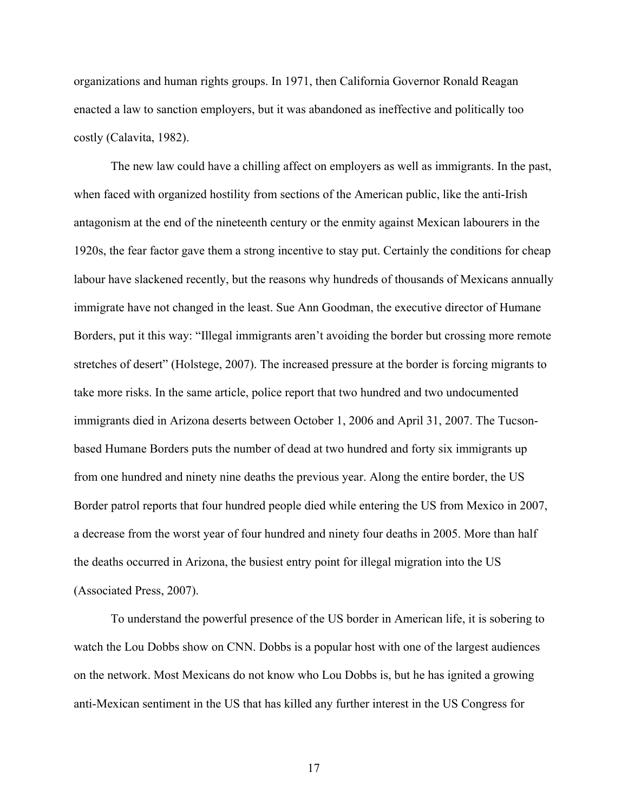organizations and human rights groups. In 1971, then California Governor Ronald Reagan enacted a law to sanction employers, but it was abandoned as ineffective and politically too costly (Calavita, 1982).

The new law could have a chilling affect on employers as well as immigrants. In the past, when faced with organized hostility from sections of the American public, like the anti-Irish antagonism at the end of the nineteenth century or the enmity against Mexican labourers in the 1920s, the fear factor gave them a strong incentive to stay put. Certainly the conditions for cheap labour have slackened recently, but the reasons why hundreds of thousands of Mexicans annually immigrate have not changed in the least. Sue Ann Goodman, the executive director of Humane Borders, put it this way: "Illegal immigrants aren't avoiding the border but crossing more remote stretches of desert" (Holstege, 2007). The increased pressure at the border is forcing migrants to take more risks. In the same article, police report that two hundred and two undocumented immigrants died in Arizona deserts between October 1, 2006 and April 31, 2007. The Tucsonbased Humane Borders puts the number of dead at two hundred and forty six immigrants up from one hundred and ninety nine deaths the previous year. Along the entire border, the US Border patrol reports that four hundred people died while entering the US from Mexico in 2007, a decrease from the worst year of four hundred and ninety four deaths in 2005. More than half the deaths occurred in Arizona, the busiest entry point for illegal migration into the US (Associated Press, 2007).

 To understand the powerful presence of the US border in American life, it is sobering to watch the Lou Dobbs show on CNN. Dobbs is a popular host with one of the largest audiences on the network. Most Mexicans do not know who Lou Dobbs is, but he has ignited a growing anti-Mexican sentiment in the US that has killed any further interest in the US Congress for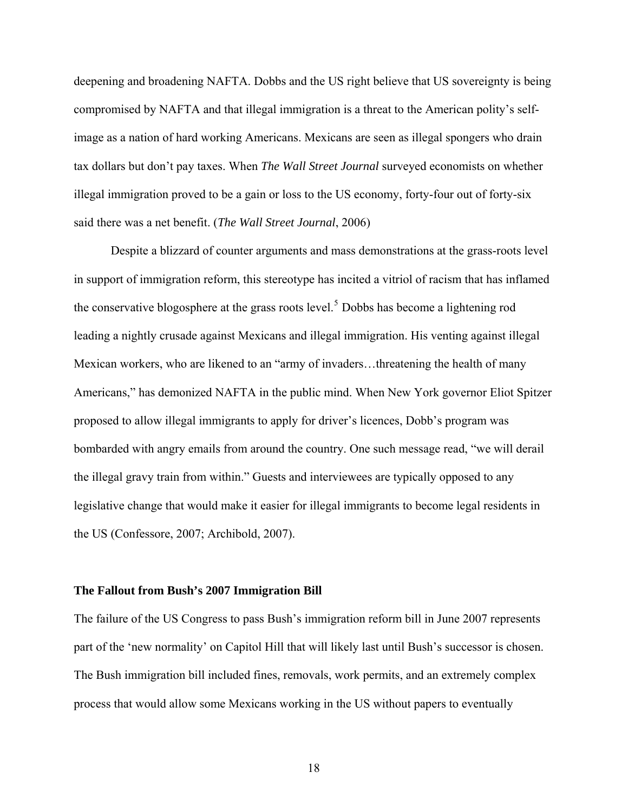deepening and broadening NAFTA. Dobbs and the US right believe that US sovereignty is being compromised by NAFTA and that illegal immigration is a threat to the American polity's selfimage as a nation of hard working Americans. Mexicans are seen as illegal spongers who drain tax dollars but don't pay taxes. When *The Wall Street Journal* surveyed economists on whether illegal immigration proved to be a gain or loss to the US economy, forty-four out of forty-six said there was a net benefit. (*The Wall Street Journal*, 2006)

Despite a blizzard of counter arguments and mass demonstrations at the grass-roots level in support of immigration reform, this stereotype has incited a vitriol of racism that has inflamed the conservative blogosphere at the grass roots level.<sup>[5](#page-47-1)</sup> Dobbs has become a lightening rod leading a nightly crusade against Mexicans and illegal immigration. His venting against illegal Mexican workers, who are likened to an "army of invaders…threatening the health of many Americans," has demonized NAFTA in the public mind. When New York governor Eliot Spitzer proposed to allow illegal immigrants to apply for driver's licences, Dobb's program was bombarded with angry emails from around the country. One such message read, "we will derail the illegal gravy train from within." Guests and interviewees are typically opposed to any legislative change that would make it easier for illegal immigrants to become legal residents in the US (Confessore, 2007; Archibold, 2007).

#### **The Fallout from Bush's 2007 Immigration Bill**

The failure of the US Congress to pass Bush's immigration reform bill in June 2007 represents part of the 'new normality' on Capitol Hill that will likely last until Bush's successor is chosen. The Bush immigration bill included fines, removals, work permits, and an extremely complex process that would allow some Mexicans working in the US without papers to eventually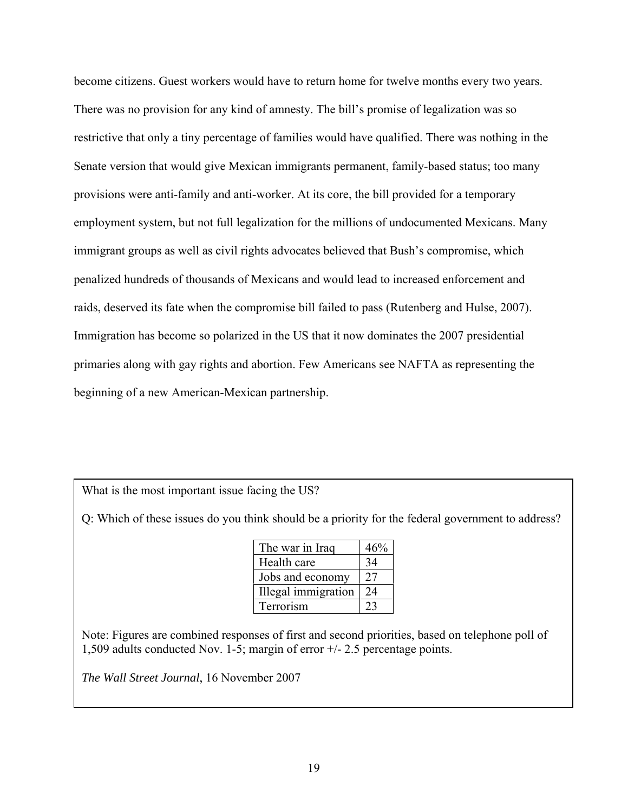become citizens. Guest workers would have to return home for twelve months every two years. There was no provision for any kind of amnesty. The bill's promise of legalization was so restrictive that only a tiny percentage of families would have qualified. There was nothing in the Senate version that would give Mexican immigrants permanent, family-based status; too many provisions were anti-family and anti-worker. At its core, the bill provided for a temporary employment system, but not full legalization for the millions of undocumented Mexicans. Many immigrant groups as well as civil rights advocates believed that Bush's compromise, which penalized hundreds of thousands of Mexicans and would lead to increased enforcement and raids, deserved its fate when the compromise bill failed to pass (Rutenberg and Hulse, 2007). Immigration has become so polarized in the US that it now dominates the 2007 presidential primaries along with gay rights and abortion. Few Americans see NAFTA as representing the beginning of a new American-Mexican partnership.

What is the most important issue facing the US?

Q: Which of these issues do you think should be a priority for the federal government to address?

| The war in Iraq     | 46% |
|---------------------|-----|
| Health care         | 34  |
| Jobs and economy    | 27  |
| Illegal immigration | 24  |
| Terrorism           |     |

Note: Figures are combined responses of first and second priorities, based on telephone poll of 1,509 adults conducted Nov. 1-5; margin of error +/- 2.5 percentage points.

*The Wall Street Journal*, 16 November 2007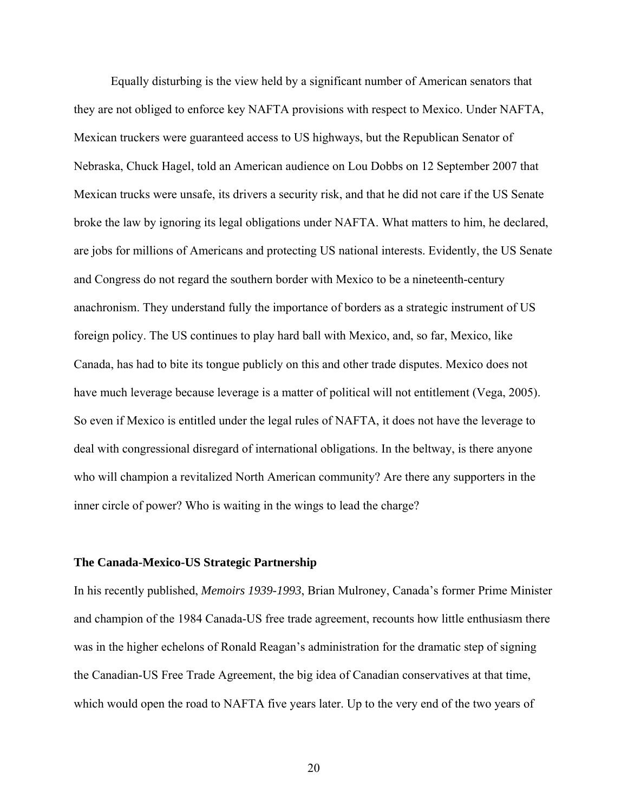Equally disturbing is the view held by a significant number of American senators that they are not obliged to enforce key NAFTA provisions with respect to Mexico. Under NAFTA, Mexican truckers were guaranteed access to US highways, but the Republican Senator of Nebraska, Chuck Hagel, told an American audience on Lou Dobbs on 12 September 2007 that Mexican trucks were unsafe, its drivers a security risk, and that he did not care if the US Senate broke the law by ignoring its legal obligations under NAFTA. What matters to him, he declared, are jobs for millions of Americans and protecting US national interests. Evidently, the US Senate and Congress do not regard the southern border with Mexico to be a nineteenth-century anachronism. They understand fully the importance of borders as a strategic instrument of US foreign policy. The US continues to play hard ball with Mexico, and, so far, Mexico, like Canada, has had to bite its tongue publicly on this and other trade disputes. Mexico does not have much leverage because leverage is a matter of political will not entitlement (Vega, 2005). So even if Mexico is entitled under the legal rules of NAFTA, it does not have the leverage to deal with congressional disregard of international obligations. In the beltway, is there anyone who will champion a revitalized North American community? Are there any supporters in the inner circle of power? Who is waiting in the wings to lead the charge?

# **The Canada-Mexico-US Strategic Partnership**

In his recently published, *Memoirs 1939-1993*, Brian Mulroney, Canada's former Prime Minister and champion of the 1984 Canada-US free trade agreement, recounts how little enthusiasm there was in the higher echelons of Ronald Reagan's administration for the dramatic step of signing the Canadian-US Free Trade Agreement, the big idea of Canadian conservatives at that time, which would open the road to NAFTA five years later. Up to the very end of the two years of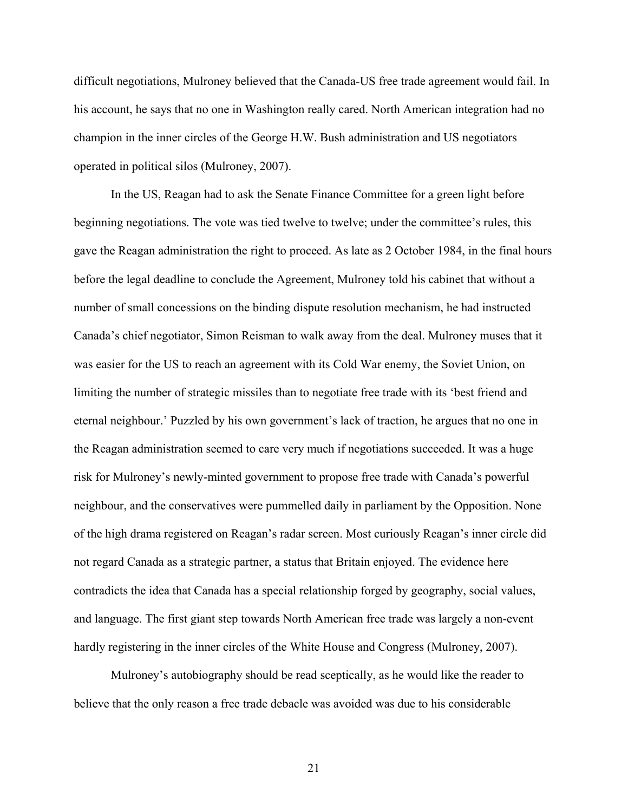difficult negotiations, Mulroney believed that the Canada-US free trade agreement would fail. In his account, he says that no one in Washington really cared. North American integration had no champion in the inner circles of the George H.W. Bush administration and US negotiators operated in political silos (Mulroney, 2007).

 In the US, Reagan had to ask the Senate Finance Committee for a green light before beginning negotiations. The vote was tied twelve to twelve; under the committee's rules, this gave the Reagan administration the right to proceed. As late as 2 October 1984, in the final hours before the legal deadline to conclude the Agreement, Mulroney told his cabinet that without a number of small concessions on the binding dispute resolution mechanism, he had instructed Canada's chief negotiator, Simon Reisman to walk away from the deal. Mulroney muses that it was easier for the US to reach an agreement with its Cold War enemy, the Soviet Union, on limiting the number of strategic missiles than to negotiate free trade with its 'best friend and eternal neighbour.' Puzzled by his own government's lack of traction, he argues that no one in the Reagan administration seemed to care very much if negotiations succeeded. It was a huge risk for Mulroney's newly-minted government to propose free trade with Canada's powerful neighbour, and the conservatives were pummelled daily in parliament by the Opposition. None of the high drama registered on Reagan's radar screen. Most curiously Reagan's inner circle did not regard Canada as a strategic partner, a status that Britain enjoyed. The evidence here contradicts the idea that Canada has a special relationship forged by geography, social values, and language. The first giant step towards North American free trade was largely a non-event hardly registering in the inner circles of the White House and Congress (Mulroney, 2007).

 Mulroney's autobiography should be read sceptically, as he would like the reader to believe that the only reason a free trade debacle was avoided was due to his considerable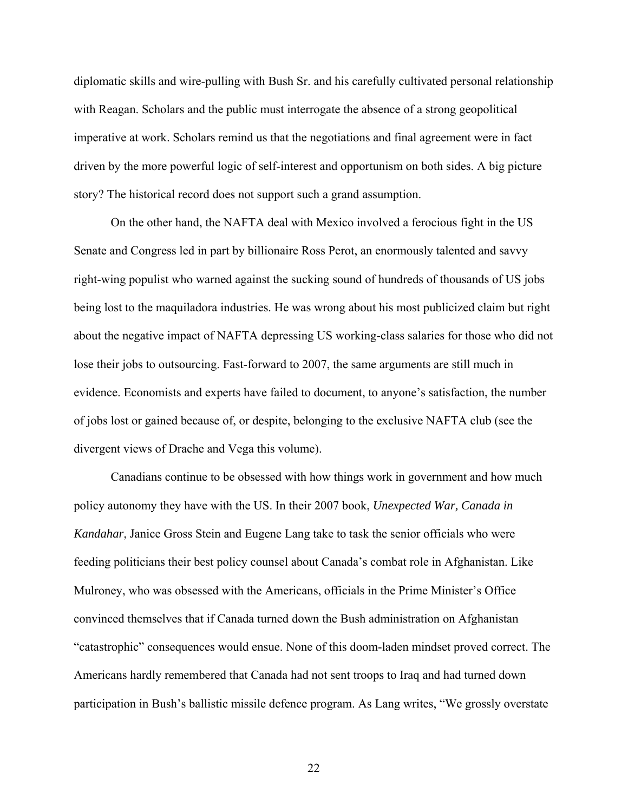diplomatic skills and wire-pulling with Bush Sr. and his carefully cultivated personal relationship with Reagan. Scholars and the public must interrogate the absence of a strong geopolitical imperative at work. Scholars remind us that the negotiations and final agreement were in fact driven by the more powerful logic of self-interest and opportunism on both sides. A big picture story? The historical record does not support such a grand assumption.

On the other hand, the NAFTA deal with Mexico involved a ferocious fight in the US Senate and Congress led in part by billionaire Ross Perot, an enormously talented and savvy right-wing populist who warned against the sucking sound of hundreds of thousands of US jobs being lost to the maquiladora industries. He was wrong about his most publicized claim but right about the negative impact of NAFTA depressing US working-class salaries for those who did not lose their jobs to outsourcing. Fast-forward to 2007, the same arguments are still much in evidence. Economists and experts have failed to document, to anyone's satisfaction, the number of jobs lost or gained because of, or despite, belonging to the exclusive NAFTA club (see the divergent views of Drache and Vega this volume).

Canadians continue to be obsessed with how things work in government and how much policy autonomy they have with the US. In their 2007 book, *Unexpected War, Canada in Kandahar*, Janice Gross Stein and Eugene Lang take to task the senior officials who were feeding politicians their best policy counsel about Canada's combat role in Afghanistan. Like Mulroney, who was obsessed with the Americans, officials in the Prime Minister's Office convinced themselves that if Canada turned down the Bush administration on Afghanistan "catastrophic" consequences would ensue. None of this doom-laden mindset proved correct. The Americans hardly remembered that Canada had not sent troops to Iraq and had turned down participation in Bush's ballistic missile defence program. As Lang writes, "We grossly overstate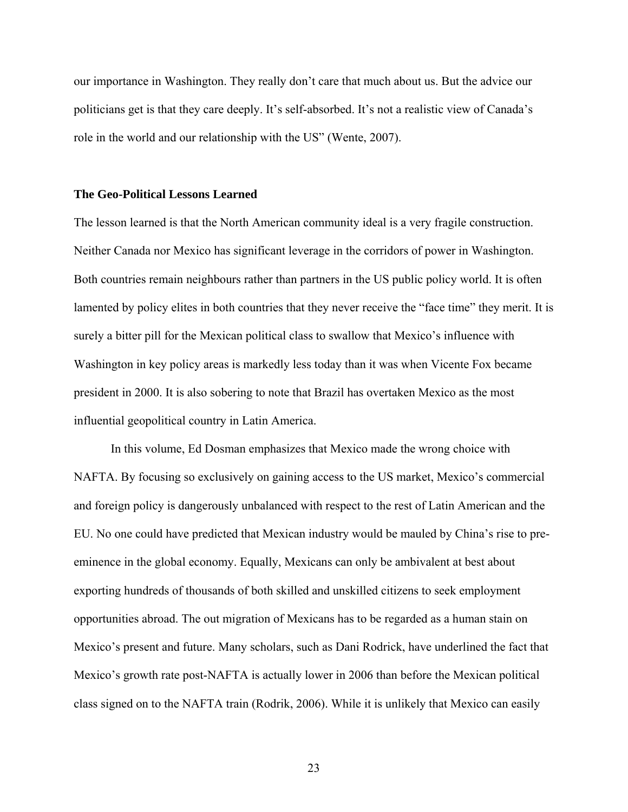our importance in Washington. They really don't care that much about us. But the advice our politicians get is that they care deeply. It's self-absorbed. It's not a realistic view of Canada's role in the world and our relationship with the US" (Wente, 2007).

# **The Geo-Political Lessons Learned**

The lesson learned is that the North American community ideal is a very fragile construction. Neither Canada nor Mexico has significant leverage in the corridors of power in Washington. Both countries remain neighbours rather than partners in the US public policy world. It is often lamented by policy elites in both countries that they never receive the "face time" they merit. It is surely a bitter pill for the Mexican political class to swallow that Mexico's influence with Washington in key policy areas is markedly less today than it was when Vicente Fox became president in 2000. It is also sobering to note that Brazil has overtaken Mexico as the most influential geopolitical country in Latin America.

In this volume, Ed Dosman emphasizes that Mexico made the wrong choice with NAFTA. By focusing so exclusively on gaining access to the US market, Mexico's commercial and foreign policy is dangerously unbalanced with respect to the rest of Latin American and the EU. No one could have predicted that Mexican industry would be mauled by China's rise to preeminence in the global economy. Equally, Mexicans can only be ambivalent at best about exporting hundreds of thousands of both skilled and unskilled citizens to seek employment opportunities abroad. The out migration of Mexicans has to be regarded as a human stain on Mexico's present and future. Many scholars, such as Dani Rodrick, have underlined the fact that Mexico's growth rate post-NAFTA is actually lower in 2006 than before the Mexican political class signed on to the NAFTA train (Rodrik, 2006). While it is unlikely that Mexico can easily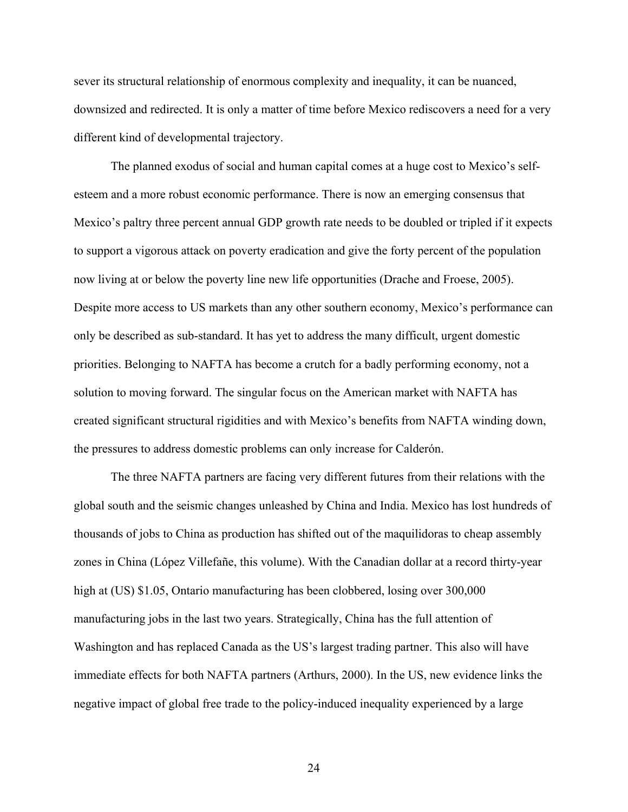sever its structural relationship of enormous complexity and inequality, it can be nuanced, downsized and redirected. It is only a matter of time before Mexico rediscovers a need for a very different kind of developmental trajectory.

The planned exodus of social and human capital comes at a huge cost to Mexico's selfesteem and a more robust economic performance. There is now an emerging consensus that Mexico's paltry three percent annual GDP growth rate needs to be doubled or tripled if it expects to support a vigorous attack on poverty eradication and give the forty percent of the population now living at or below the poverty line new life opportunities (Drache and Froese, 2005). Despite more access to US markets than any other southern economy, Mexico's performance can only be described as sub-standard. It has yet to address the many difficult, urgent domestic priorities. Belonging to NAFTA has become a crutch for a badly performing economy, not a solution to moving forward. The singular focus on the American market with NAFTA has created significant structural rigidities and with Mexico's benefits from NAFTA winding down, the pressures to address domestic problems can only increase for Calderón.

The three NAFTA partners are facing very different futures from their relations with the global south and the seismic changes unleashed by China and India. Mexico has lost hundreds of thousands of jobs to China as production has shifted out of the maquilidoras to cheap assembly zones in China (López Villefañe, this volume). With the Canadian dollar at a record thirty-year high at (US) \$1.05, Ontario manufacturing has been clobbered, losing over 300,000 manufacturing jobs in the last two years. Strategically, China has the full attention of Washington and has replaced Canada as the US's largest trading partner. This also will have immediate effects for both NAFTA partners (Arthurs, 2000). In the US, new evidence links the negative impact of global free trade to the policy-induced inequality experienced by a large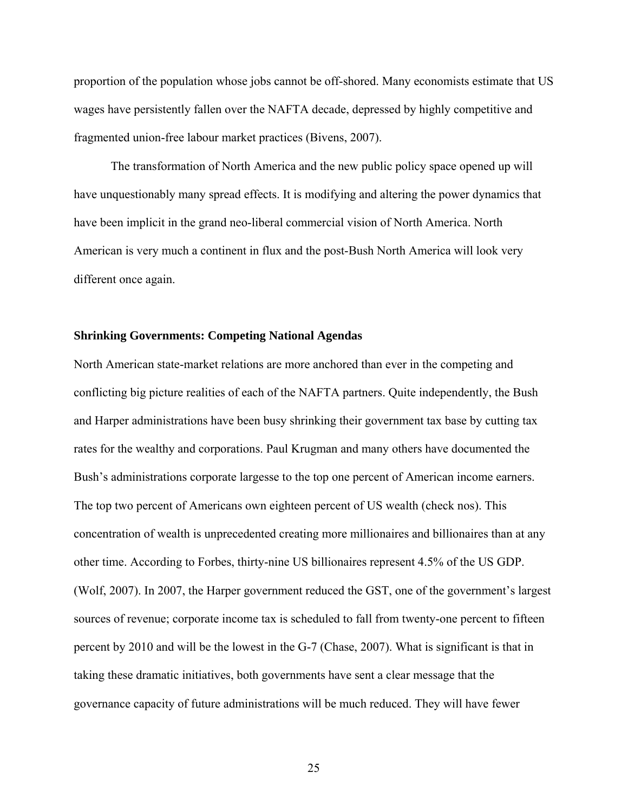proportion of the population whose jobs cannot be off-shored. Many economists estimate that US wages have persistently fallen over the NAFTA decade, depressed by highly competitive and fragmented union-free labour market practices (Bivens, 2007).

The transformation of North America and the new public policy space opened up will have unquestionably many spread effects. It is modifying and altering the power dynamics that have been implicit in the grand neo-liberal commercial vision of North America. North American is very much a continent in flux and the post-Bush North America will look very different once again.

# **Shrinking Governments: Competing National Agendas**

North American state-market relations are more anchored than ever in the competing and conflicting big picture realities of each of the NAFTA partners. Quite independently, the Bush and Harper administrations have been busy shrinking their government tax base by cutting tax rates for the wealthy and corporations. Paul Krugman and many others have documented the Bush's administrations corporate largesse to the top one percent of American income earners. The top two percent of Americans own eighteen percent of US wealth (check nos). This concentration of wealth is unprecedented creating more millionaires and billionaires than at any other time. According to Forbes, thirty-nine US billionaires represent 4.5% of the US GDP. (Wolf, 2007). In 2007, the Harper government reduced the GST, one of the government's largest sources of revenue; corporate income tax is scheduled to fall from twenty-one percent to fifteen percent by 2010 and will be the lowest in the G-7 (Chase, 2007). What is significant is that in taking these dramatic initiatives, both governments have sent a clear message that the governance capacity of future administrations will be much reduced. They will have fewer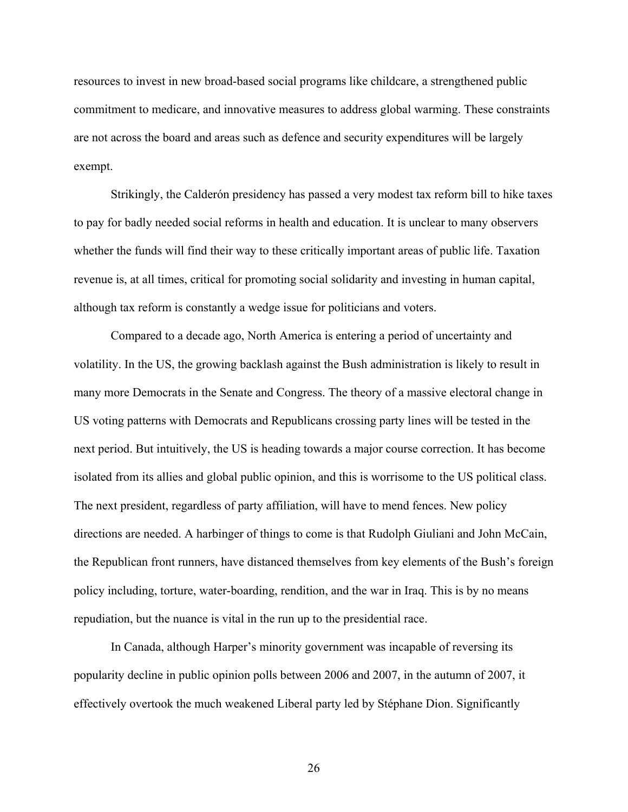resources to invest in new broad-based social programs like childcare, a strengthened public commitment to medicare, and innovative measures to address global warming. These constraints are not across the board and areas such as defence and security expenditures will be largely exempt.

Strikingly, the Calderón presidency has passed a very modest tax reform bill to hike taxes to pay for badly needed social reforms in health and education. It is unclear to many observers whether the funds will find their way to these critically important areas of public life. Taxation revenue is, at all times, critical for promoting social solidarity and investing in human capital, although tax reform is constantly a wedge issue for politicians and voters.

Compared to a decade ago, North America is entering a period of uncertainty and volatility. In the US, the growing backlash against the Bush administration is likely to result in many more Democrats in the Senate and Congress. The theory of a massive electoral change in US voting patterns with Democrats and Republicans crossing party lines will be tested in the next period. But intuitively, the US is heading towards a major course correction. It has become isolated from its allies and global public opinion, and this is worrisome to the US political class. The next president, regardless of party affiliation, will have to mend fences. New policy directions are needed. A harbinger of things to come is that Rudolph Giuliani and John McCain, the Republican front runners, have distanced themselves from key elements of the Bush's foreign policy including, torture, water-boarding, rendition, and the war in Iraq. This is by no means repudiation, but the nuance is vital in the run up to the presidential race.

In Canada, although Harper's minority government was incapable of reversing its popularity decline in public opinion polls between 2006 and 2007, in the autumn of 2007, it effectively overtook the much weakened Liberal party led by Stéphane Dion. Significantly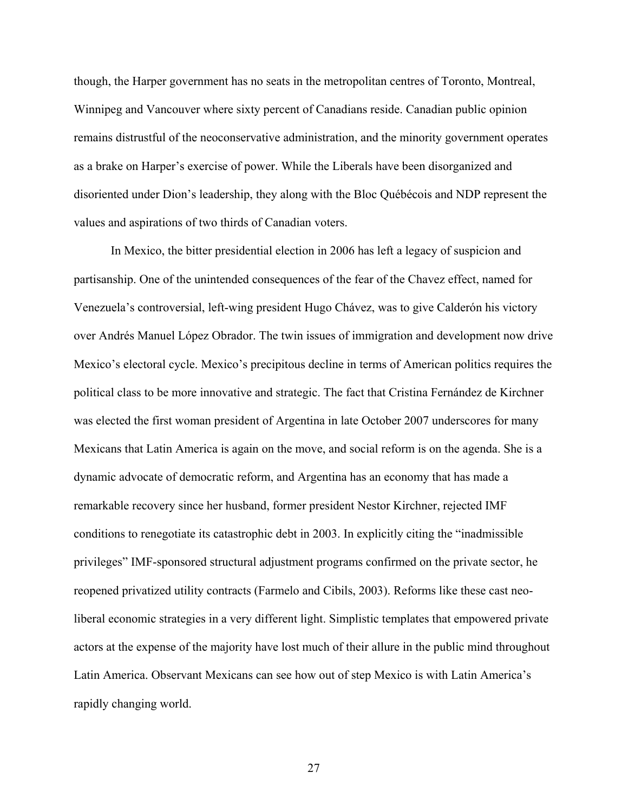though, the Harper government has no seats in the metropolitan centres of Toronto, Montreal, Winnipeg and Vancouver where sixty percent of Canadians reside. Canadian public opinion remains distrustful of the neoconservative administration, and the minority government operates as a brake on Harper's exercise of power. While the Liberals have been disorganized and disoriented under Dion's leadership, they along with the Bloc Québécois and NDP represent the values and aspirations of two thirds of Canadian voters.

In Mexico, the bitter presidential election in 2006 has left a legacy of suspicion and partisanship. One of the unintended consequences of the fear of the Chavez effect, named for Venezuela's controversial, left-wing president Hugo Chávez, was to give Calderón his victory over Andrés Manuel López Obrador. The twin issues of immigration and development now drive Mexico's electoral cycle. Mexico's precipitous decline in terms of American politics requires the political class to be more innovative and strategic. The fact that Cristina Fernández de Kirchner was elected the first woman president of Argentina in late October 2007 underscores for many Mexicans that Latin America is again on the move, and social reform is on the agenda. She is a dynamic advocate of democratic reform, and Argentina has an economy that has made a remarkable recovery since her husband, former president Nestor Kirchner, rejected IMF conditions to renegotiate its catastrophic debt in 2003. In explicitly citing the "inadmissible privileges" IMF-sponsored structural adjustment programs confirmed on the private sector, he reopened privatized utility contracts (Farmelo and Cibils, 2003). Reforms like these cast neoliberal economic strategies in a very different light. Simplistic templates that empowered private actors at the expense of the majority have lost much of their allure in the public mind throughout Latin America. Observant Mexicans can see how out of step Mexico is with Latin America's rapidly changing world.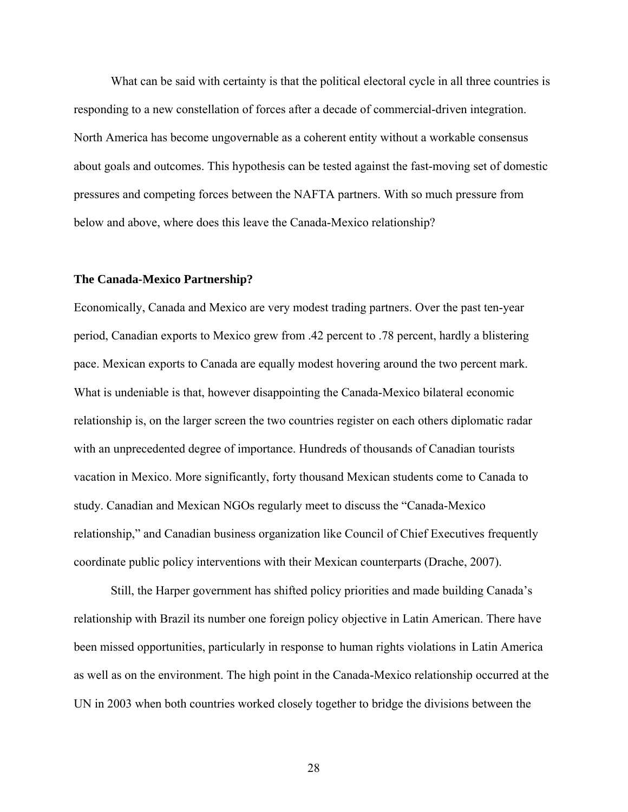What can be said with certainty is that the political electoral cycle in all three countries is responding to a new constellation of forces after a decade of commercial-driven integration. North America has become ungovernable as a coherent entity without a workable consensus about goals and outcomes. This hypothesis can be tested against the fast-moving set of domestic pressures and competing forces between the NAFTA partners. With so much pressure from below and above, where does this leave the Canada-Mexico relationship?

#### **The Canada-Mexico Partnership?**

Economically, Canada and Mexico are very modest trading partners. Over the past ten-year period, Canadian exports to Mexico grew from .42 percent to .78 percent, hardly a blistering pace. Mexican exports to Canada are equally modest hovering around the two percent mark. What is undeniable is that, however disappointing the Canada-Mexico bilateral economic relationship is, on the larger screen the two countries register on each others diplomatic radar with an unprecedented degree of importance. Hundreds of thousands of Canadian tourists vacation in Mexico. More significantly, forty thousand Mexican students come to Canada to study. Canadian and Mexican NGOs regularly meet to discuss the "Canada-Mexico relationship," and Canadian business organization like Council of Chief Executives frequently coordinate public policy interventions with their Mexican counterparts (Drache, 2007).

Still, the Harper government has shifted policy priorities and made building Canada's relationship with Brazil its number one foreign policy objective in Latin American. There have been missed opportunities, particularly in response to human rights violations in Latin America as well as on the environment. The high point in the Canada-Mexico relationship occurred at the UN in 2003 when both countries worked closely together to bridge the divisions between the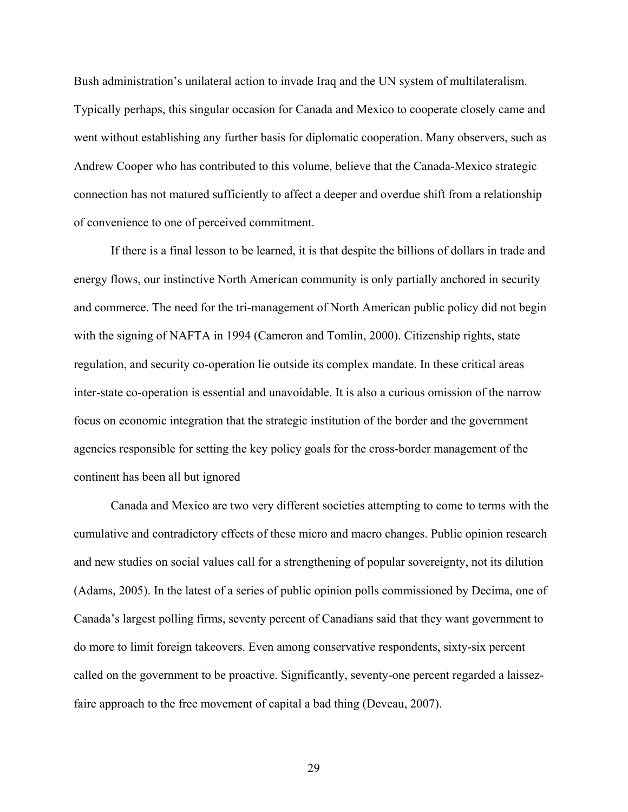Bush administration's unilateral action to invade Iraq and the UN system of multilateralism. Typically perhaps, this singular occasion for Canada and Mexico to cooperate closely came and went without establishing any further basis for diplomatic cooperation. Many observers, such as Andrew Cooper who has contributed to this volume, believe that the Canada-Mexico strategic connection has not matured sufficiently to affect a deeper and overdue shift from a relationship of convenience to one of perceived commitment.

If there is a final lesson to be learned, it is that despite the billions of dollars in trade and energy flows, our instinctive North American community is only partially anchored in security and commerce. The need for the tri-management of North American public policy did not begin with the signing of NAFTA in 1994 (Cameron and Tomlin, 2000). Citizenship rights, state regulation, and security co-operation lie outside its complex mandate. In these critical areas inter-state co-operation is essential and unavoidable. It is also a curious omission of the narrow focus on economic integration that the strategic institution of the border and the government agencies responsible for setting the key policy goals for the cross-border management of the continent has been all but ignored

Canada and Mexico are two very different societies attempting to come to terms with the cumulative and contradictory effects of these micro and macro changes. Public opinion research and new studies on social values call for a strengthening of popular sovereignty, not its dilution (Adams, 2005). In the latest of a series of public opinion polls commissioned by Decima, one of Canada's largest polling firms, seventy percent of Canadians said that they want government to do more to limit foreign takeovers. Even among conservative respondents, sixty-six percent called on the government to be proactive. Significantly, seventy-one percent regarded a laissezfaire approach to the free movement of capital a bad thing (Deveau, 2007).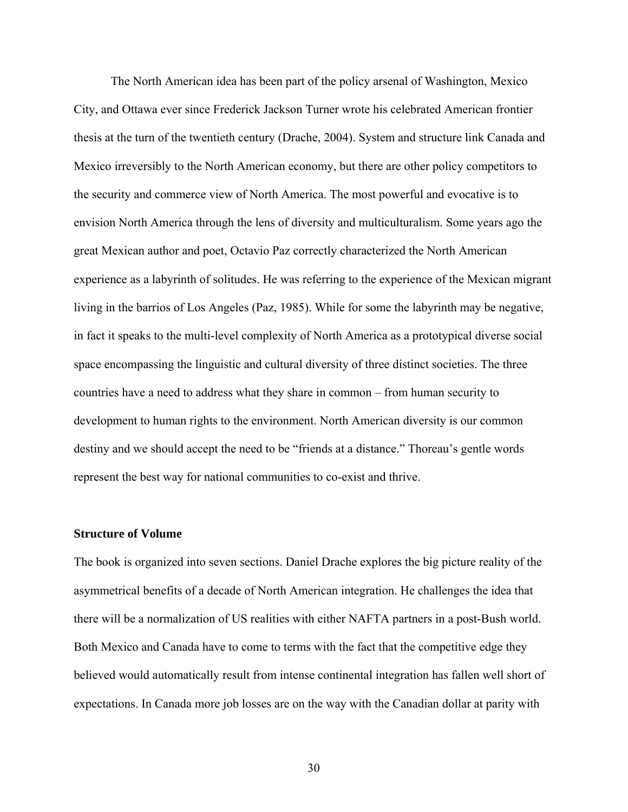The North American idea has been part of the policy arsenal of Washington, Mexico City, and Ottawa ever since Frederick Jackson Turner wrote his celebrated American frontier thesis at the turn of the twentieth century (Drache, 2004). System and structure link Canada and Mexico irreversibly to the North American economy, but there are other policy competitors to the security and commerce view of North America. The most powerful and evocative is to envision North America through the lens of diversity and multiculturalism. Some years ago the great Mexican author and poet, Octavio Paz correctly characterized the North American experience as a labyrinth of solitudes. He was referring to the experience of the Mexican migrant living in the barrios of Los Angeles (Paz, 1985). While for some the labyrinth may be negative, in fact it speaks to the multi-level complexity of North America as a prototypical diverse social space encompassing the linguistic and cultural diversity of three distinct societies. The three countries have a need to address what they share in common – from human security to development to human rights to the environment. North American diversity is our common destiny and we should accept the need to be "friends at a distance." Thoreau's gentle words represent the best way for national communities to co-exist and thrive.

# **Structure of Volume**

The book is organized into seven sections. Daniel Drache explores the big picture reality of the asymmetrical benefits of a decade of North American integration. He challenges the idea that there will be a normalization of US realities with either NAFTA partners in a post-Bush world. Both Mexico and Canada have to come to terms with the fact that the competitive edge they believed would automatically result from intense continental integration has fallen well short of expectations. In Canada more job losses are on the way with the Canadian dollar at parity with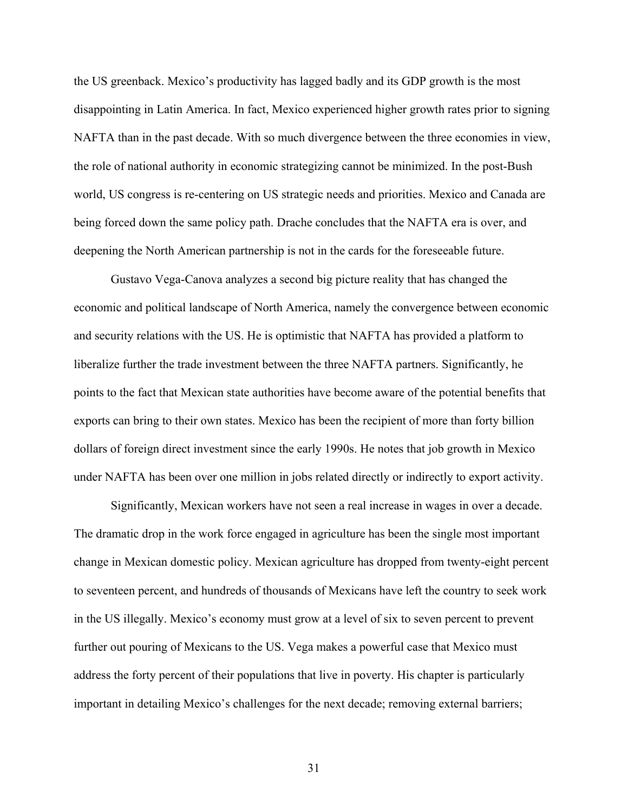the US greenback. Mexico's productivity has lagged badly and its GDP growth is the most disappointing in Latin America. In fact, Mexico experienced higher growth rates prior to signing NAFTA than in the past decade. With so much divergence between the three economies in view, the role of national authority in economic strategizing cannot be minimized. In the post-Bush world, US congress is re-centering on US strategic needs and priorities. Mexico and Canada are being forced down the same policy path. Drache concludes that the NAFTA era is over, and deepening the North American partnership is not in the cards for the foreseeable future.

Gustavo Vega-Canova analyzes a second big picture reality that has changed the economic and political landscape of North America, namely the convergence between economic and security relations with the US. He is optimistic that NAFTA has provided a platform to liberalize further the trade investment between the three NAFTA partners. Significantly, he points to the fact that Mexican state authorities have become aware of the potential benefits that exports can bring to their own states. Mexico has been the recipient of more than forty billion dollars of foreign direct investment since the early 1990s. He notes that job growth in Mexico under NAFTA has been over one million in jobs related directly or indirectly to export activity.

Significantly, Mexican workers have not seen a real increase in wages in over a decade. The dramatic drop in the work force engaged in agriculture has been the single most important change in Mexican domestic policy. Mexican agriculture has dropped from twenty-eight percent to seventeen percent, and hundreds of thousands of Mexicans have left the country to seek work in the US illegally. Mexico's economy must grow at a level of six to seven percent to prevent further out pouring of Mexicans to the US. Vega makes a powerful case that Mexico must address the forty percent of their populations that live in poverty. His chapter is particularly important in detailing Mexico's challenges for the next decade; removing external barriers;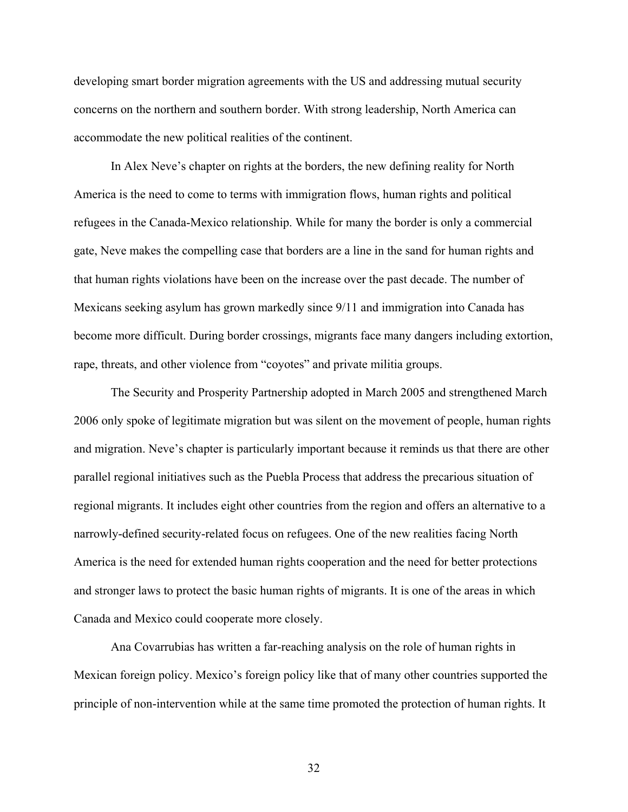developing smart border migration agreements with the US and addressing mutual security concerns on the northern and southern border. With strong leadership, North America can accommodate the new political realities of the continent.

In Alex Neve's chapter on rights at the borders, the new defining reality for North America is the need to come to terms with immigration flows, human rights and political refugees in the Canada-Mexico relationship. While for many the border is only a commercial gate, Neve makes the compelling case that borders are a line in the sand for human rights and that human rights violations have been on the increase over the past decade. The number of Mexicans seeking asylum has grown markedly since 9/11 and immigration into Canada has become more difficult. During border crossings, migrants face many dangers including extortion, rape, threats, and other violence from "coyotes" and private militia groups.

The Security and Prosperity Partnership adopted in March 2005 and strengthened March 2006 only spoke of legitimate migration but was silent on the movement of people, human rights and migration. Neve's chapter is particularly important because it reminds us that there are other parallel regional initiatives such as the Puebla Process that address the precarious situation of regional migrants. It includes eight other countries from the region and offers an alternative to a narrowly-defined security-related focus on refugees. One of the new realities facing North America is the need for extended human rights cooperation and the need for better protections and stronger laws to protect the basic human rights of migrants. It is one of the areas in which Canada and Mexico could cooperate more closely.

Ana Covarrubias has written a far-reaching analysis on the role of human rights in Mexican foreign policy. Mexico's foreign policy like that of many other countries supported the principle of non-intervention while at the same time promoted the protection of human rights. It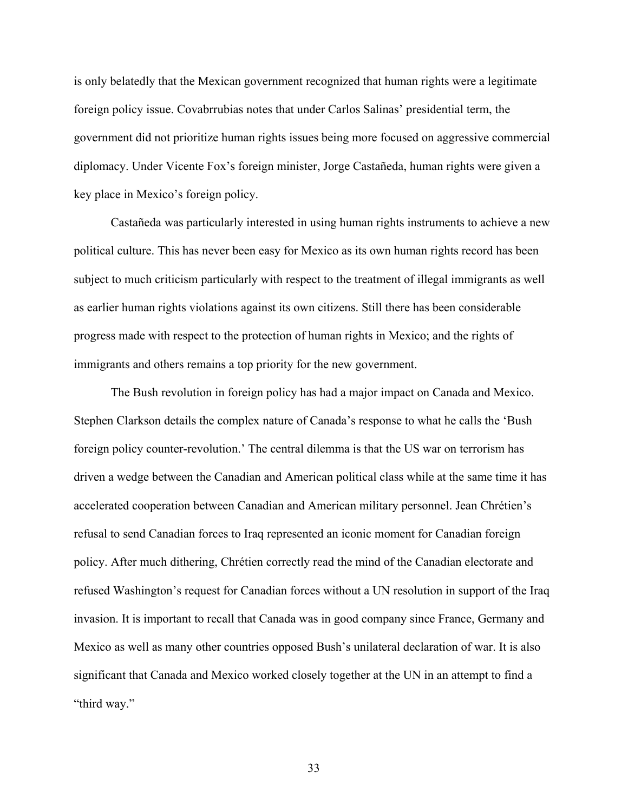is only belatedly that the Mexican government recognized that human rights were a legitimate foreign policy issue. Covabrrubias notes that under Carlos Salinas' presidential term, the government did not prioritize human rights issues being more focused on aggressive commercial diplomacy. Under Vicente Fox's foreign minister, Jorge Castañeda, human rights were given a key place in Mexico's foreign policy.

Castañeda was particularly interested in using human rights instruments to achieve a new political culture. This has never been easy for Mexico as its own human rights record has been subject to much criticism particularly with respect to the treatment of illegal immigrants as well as earlier human rights violations against its own citizens. Still there has been considerable progress made with respect to the protection of human rights in Mexico; and the rights of immigrants and others remains a top priority for the new government.

The Bush revolution in foreign policy has had a major impact on Canada and Mexico. Stephen Clarkson details the complex nature of Canada's response to what he calls the 'Bush foreign policy counter-revolution.' The central dilemma is that the US war on terrorism has driven a wedge between the Canadian and American political class while at the same time it has accelerated cooperation between Canadian and American military personnel. Jean Chrétien's refusal to send Canadian forces to Iraq represented an iconic moment for Canadian foreign policy. After much dithering, Chrétien correctly read the mind of the Canadian electorate and refused Washington's request for Canadian forces without a UN resolution in support of the Iraq invasion. It is important to recall that Canada was in good company since France, Germany and Mexico as well as many other countries opposed Bush's unilateral declaration of war. It is also significant that Canada and Mexico worked closely together at the UN in an attempt to find a "third way."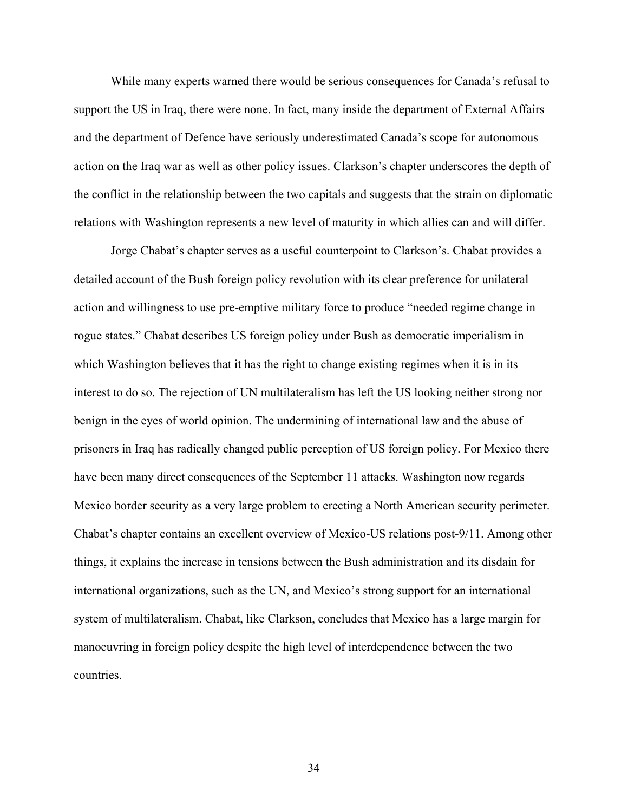While many experts warned there would be serious consequences for Canada's refusal to support the US in Iraq, there were none. In fact, many inside the department of External Affairs and the department of Defence have seriously underestimated Canada's scope for autonomous action on the Iraq war as well as other policy issues. Clarkson's chapter underscores the depth of the conflict in the relationship between the two capitals and suggests that the strain on diplomatic relations with Washington represents a new level of maturity in which allies can and will differ.

Jorge Chabat's chapter serves as a useful counterpoint to Clarkson's. Chabat provides a detailed account of the Bush foreign policy revolution with its clear preference for unilateral action and willingness to use pre-emptive military force to produce "needed regime change in rogue states." Chabat describes US foreign policy under Bush as democratic imperialism in which Washington believes that it has the right to change existing regimes when it is in its interest to do so. The rejection of UN multilateralism has left the US looking neither strong nor benign in the eyes of world opinion. The undermining of international law and the abuse of prisoners in Iraq has radically changed public perception of US foreign policy. For Mexico there have been many direct consequences of the September 11 attacks. Washington now regards Mexico border security as a very large problem to erecting a North American security perimeter. Chabat's chapter contains an excellent overview of Mexico-US relations post-9/11. Among other things, it explains the increase in tensions between the Bush administration and its disdain for international organizations, such as the UN, and Mexico's strong support for an international system of multilateralism. Chabat, like Clarkson, concludes that Mexico has a large margin for manoeuvring in foreign policy despite the high level of interdependence between the two countries.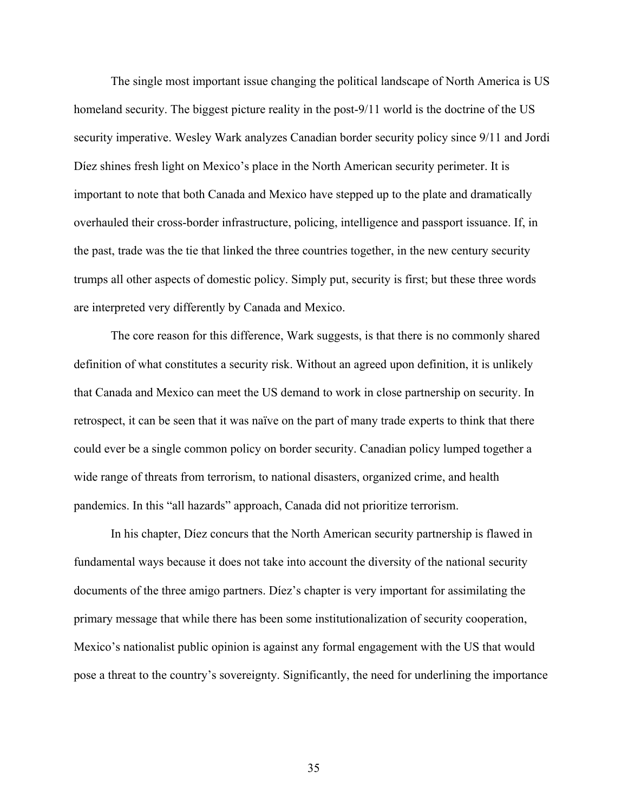The single most important issue changing the political landscape of North America is US homeland security. The biggest picture reality in the post-9/11 world is the doctrine of the US security imperative. Wesley Wark analyzes Canadian border security policy since 9/11 and Jordi Díez shines fresh light on Mexico's place in the North American security perimeter. It is important to note that both Canada and Mexico have stepped up to the plate and dramatically overhauled their cross-border infrastructure, policing, intelligence and passport issuance. If, in the past, trade was the tie that linked the three countries together, in the new century security trumps all other aspects of domestic policy. Simply put, security is first; but these three words are interpreted very differently by Canada and Mexico.

The core reason for this difference, Wark suggests, is that there is no commonly shared definition of what constitutes a security risk. Without an agreed upon definition, it is unlikely that Canada and Mexico can meet the US demand to work in close partnership on security. In retrospect, it can be seen that it was naïve on the part of many trade experts to think that there could ever be a single common policy on border security. Canadian policy lumped together a wide range of threats from terrorism, to national disasters, organized crime, and health pandemics. In this "all hazards" approach, Canada did not prioritize terrorism.

In his chapter, Díez concurs that the North American security partnership is flawed in fundamental ways because it does not take into account the diversity of the national security documents of the three amigo partners. Díez's chapter is very important for assimilating the primary message that while there has been some institutionalization of security cooperation, Mexico's nationalist public opinion is against any formal engagement with the US that would pose a threat to the country's sovereignty. Significantly, the need for underlining the importance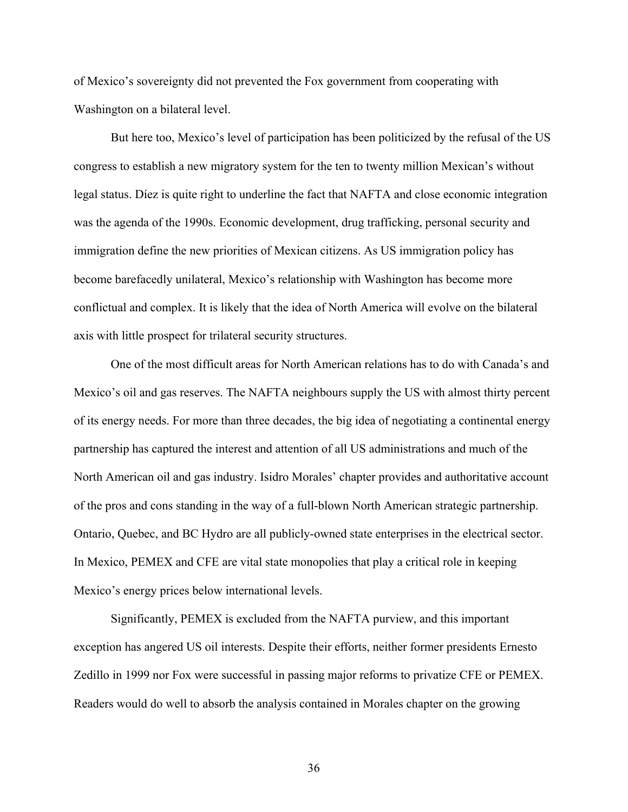of Mexico's sovereignty did not prevented the Fox government from cooperating with Washington on a bilateral level.

 But here too, Mexico's level of participation has been politicized by the refusal of the US congress to establish a new migratory system for the ten to twenty million Mexican's without legal status. Díez is quite right to underline the fact that NAFTA and close economic integration was the agenda of the 1990s. Economic development, drug trafficking, personal security and immigration define the new priorities of Mexican citizens. As US immigration policy has become barefacedly unilateral, Mexico's relationship with Washington has become more conflictual and complex. It is likely that the idea of North America will evolve on the bilateral axis with little prospect for trilateral security structures.

One of the most difficult areas for North American relations has to do with Canada's and Mexico's oil and gas reserves. The NAFTA neighbours supply the US with almost thirty percent of its energy needs. For more than three decades, the big idea of negotiating a continental energy partnership has captured the interest and attention of all US administrations and much of the North American oil and gas industry. Isidro Morales' chapter provides and authoritative account of the pros and cons standing in the way of a full-blown North American strategic partnership. Ontario, Quebec, and BC Hydro are all publicly-owned state enterprises in the electrical sector. In Mexico, PEMEX and CFE are vital state monopolies that play a critical role in keeping Mexico's energy prices below international levels.

Significantly, PEMEX is excluded from the NAFTA purview, and this important exception has angered US oil interests. Despite their efforts, neither former presidents Ernesto Zedillo in 1999 nor Fox were successful in passing major reforms to privatize CFE or PEMEX. Readers would do well to absorb the analysis contained in Morales chapter on the growing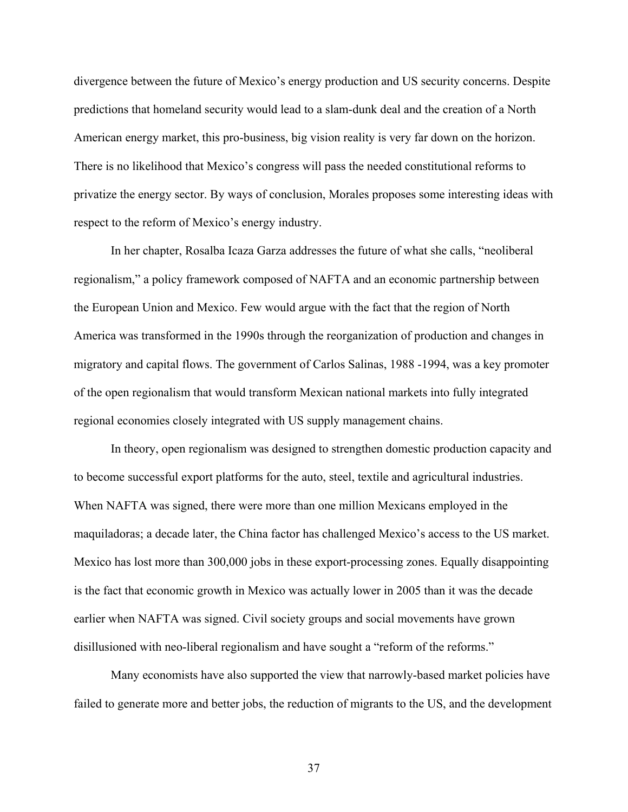divergence between the future of Mexico's energy production and US security concerns. Despite predictions that homeland security would lead to a slam-dunk deal and the creation of a North American energy market, this pro-business, big vision reality is very far down on the horizon. There is no likelihood that Mexico's congress will pass the needed constitutional reforms to privatize the energy sector. By ways of conclusion, Morales proposes some interesting ideas with respect to the reform of Mexico's energy industry.

In her chapter, Rosalba Icaza Garza addresses the future of what she calls, "neoliberal regionalism," a policy framework composed of NAFTA and an economic partnership between the European Union and Mexico. Few would argue with the fact that the region of North America was transformed in the 1990s through the reorganization of production and changes in migratory and capital flows. The government of Carlos Salinas, 1988 -1994, was a key promoter of the open regionalism that would transform Mexican national markets into fully integrated regional economies closely integrated with US supply management chains.

In theory, open regionalism was designed to strengthen domestic production capacity and to become successful export platforms for the auto, steel, textile and agricultural industries. When NAFTA was signed, there were more than one million Mexicans employed in the maquiladoras; a decade later, the China factor has challenged Mexico's access to the US market. Mexico has lost more than 300,000 jobs in these export-processing zones. Equally disappointing is the fact that economic growth in Mexico was actually lower in 2005 than it was the decade earlier when NAFTA was signed. Civil society groups and social movements have grown disillusioned with neo-liberal regionalism and have sought a "reform of the reforms."

Many economists have also supported the view that narrowly-based market policies have failed to generate more and better jobs, the reduction of migrants to the US, and the development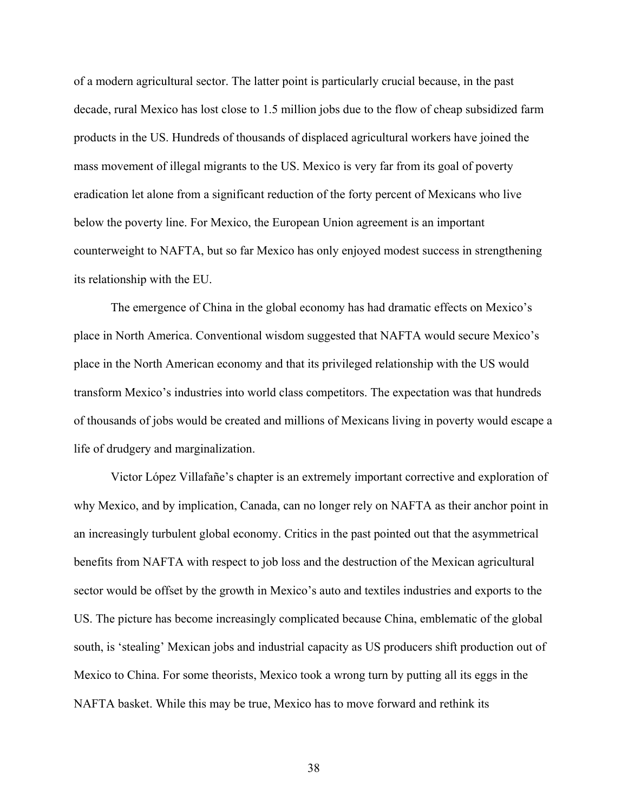of a modern agricultural sector. The latter point is particularly crucial because, in the past decade, rural Mexico has lost close to 1.5 million jobs due to the flow of cheap subsidized farm products in the US. Hundreds of thousands of displaced agricultural workers have joined the mass movement of illegal migrants to the US. Mexico is very far from its goal of poverty eradication let alone from a significant reduction of the forty percent of Mexicans who live below the poverty line. For Mexico, the European Union agreement is an important counterweight to NAFTA, but so far Mexico has only enjoyed modest success in strengthening its relationship with the EU.

The emergence of China in the global economy has had dramatic effects on Mexico's place in North America. Conventional wisdom suggested that NAFTA would secure Mexico's place in the North American economy and that its privileged relationship with the US would transform Mexico's industries into world class competitors. The expectation was that hundreds of thousands of jobs would be created and millions of Mexicans living in poverty would escape a life of drudgery and marginalization.

Victor López Villafañe's chapter is an extremely important corrective and exploration of why Mexico, and by implication, Canada, can no longer rely on NAFTA as their anchor point in an increasingly turbulent global economy. Critics in the past pointed out that the asymmetrical benefits from NAFTA with respect to job loss and the destruction of the Mexican agricultural sector would be offset by the growth in Mexico's auto and textiles industries and exports to the US. The picture has become increasingly complicated because China, emblematic of the global south, is 'stealing' Mexican jobs and industrial capacity as US producers shift production out of Mexico to China. For some theorists, Mexico took a wrong turn by putting all its eggs in the NAFTA basket. While this may be true, Mexico has to move forward and rethink its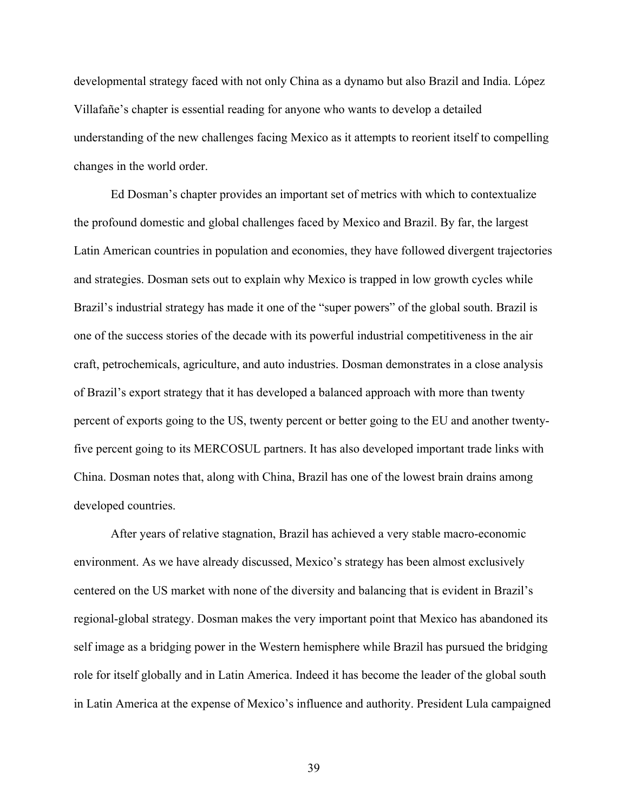developmental strategy faced with not only China as a dynamo but also Brazil and India. López Villafañe's chapter is essential reading for anyone who wants to develop a detailed understanding of the new challenges facing Mexico as it attempts to reorient itself to compelling changes in the world order.

Ed Dosman's chapter provides an important set of metrics with which to contextualize the profound domestic and global challenges faced by Mexico and Brazil. By far, the largest Latin American countries in population and economies, they have followed divergent trajectories and strategies. Dosman sets out to explain why Mexico is trapped in low growth cycles while Brazil's industrial strategy has made it one of the "super powers" of the global south. Brazil is one of the success stories of the decade with its powerful industrial competitiveness in the air craft, petrochemicals, agriculture, and auto industries. Dosman demonstrates in a close analysis of Brazil's export strategy that it has developed a balanced approach with more than twenty percent of exports going to the US, twenty percent or better going to the EU and another twentyfive percent going to its MERCOSUL partners. It has also developed important trade links with China. Dosman notes that, along with China, Brazil has one of the lowest brain drains among developed countries.

After years of relative stagnation, Brazil has achieved a very stable macro-economic environment. As we have already discussed, Mexico's strategy has been almost exclusively centered on the US market with none of the diversity and balancing that is evident in Brazil's regional-global strategy. Dosman makes the very important point that Mexico has abandoned its self image as a bridging power in the Western hemisphere while Brazil has pursued the bridging role for itself globally and in Latin America. Indeed it has become the leader of the global south in Latin America at the expense of Mexico's influence and authority. President Lula campaigned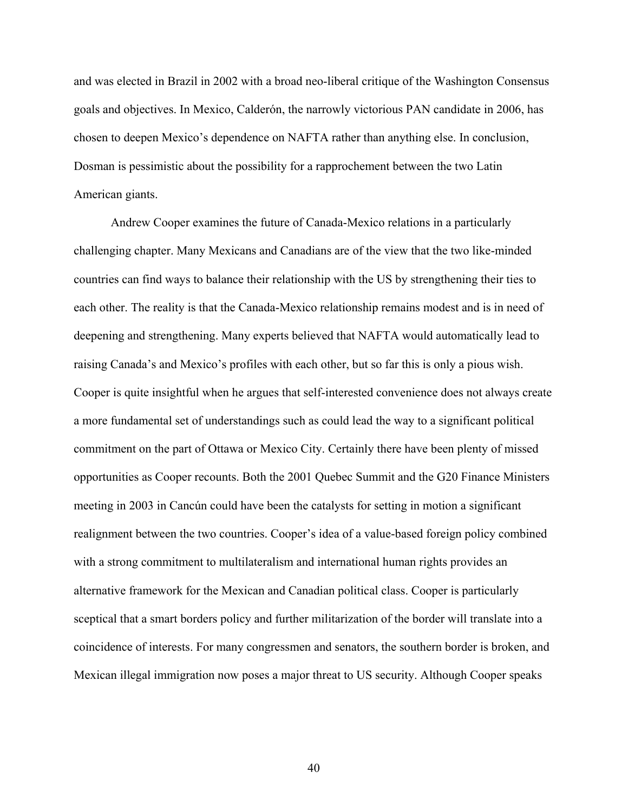and was elected in Brazil in 2002 with a broad neo-liberal critique of the Washington Consensus goals and objectives. In Mexico, Calderόn, the narrowly victorious PAN candidate in 2006, has chosen to deepen Mexico's dependence on NAFTA rather than anything else. In conclusion, Dosman is pessimistic about the possibility for a rapprochement between the two Latin American giants.

Andrew Cooper examines the future of Canada-Mexico relations in a particularly challenging chapter. Many Mexicans and Canadians are of the view that the two like-minded countries can find ways to balance their relationship with the US by strengthening their ties to each other. The reality is that the Canada-Mexico relationship remains modest and is in need of deepening and strengthening. Many experts believed that NAFTA would automatically lead to raising Canada's and Mexico's profiles with each other, but so far this is only a pious wish. Cooper is quite insightful when he argues that self-interested convenience does not always create a more fundamental set of understandings such as could lead the way to a significant political commitment on the part of Ottawa or Mexico City. Certainly there have been plenty of missed opportunities as Cooper recounts. Both the 2001 Quebec Summit and the G20 Finance Ministers meeting in 2003 in Cancún could have been the catalysts for setting in motion a significant realignment between the two countries. Cooper's idea of a value-based foreign policy combined with a strong commitment to multilateralism and international human rights provides an alternative framework for the Mexican and Canadian political class. Cooper is particularly sceptical that a smart borders policy and further militarization of the border will translate into a coincidence of interests. For many congressmen and senators, the southern border is broken, and Mexican illegal immigration now poses a major threat to US security. Although Cooper speaks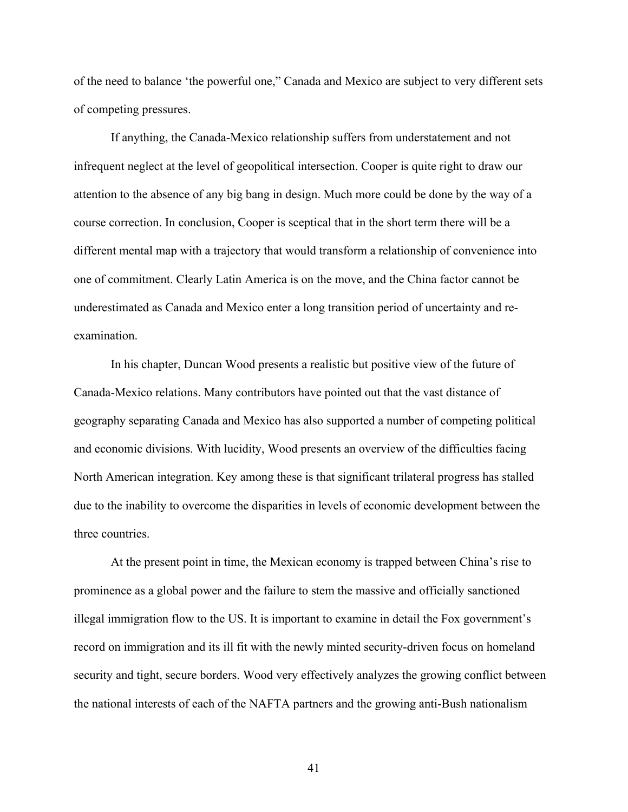of the need to balance 'the powerful one," Canada and Mexico are subject to very different sets of competing pressures.

If anything, the Canada-Mexico relationship suffers from understatement and not infrequent neglect at the level of geopolitical intersection. Cooper is quite right to draw our attention to the absence of any big bang in design. Much more could be done by the way of a course correction. In conclusion, Cooper is sceptical that in the short term there will be a different mental map with a trajectory that would transform a relationship of convenience into one of commitment. Clearly Latin America is on the move, and the China factor cannot be underestimated as Canada and Mexico enter a long transition period of uncertainty and reexamination.

In his chapter, Duncan Wood presents a realistic but positive view of the future of Canada-Mexico relations. Many contributors have pointed out that the vast distance of geography separating Canada and Mexico has also supported a number of competing political and economic divisions. With lucidity, Wood presents an overview of the difficulties facing North American integration. Key among these is that significant trilateral progress has stalled due to the inability to overcome the disparities in levels of economic development between the three countries.

At the present point in time, the Mexican economy is trapped between China's rise to prominence as a global power and the failure to stem the massive and officially sanctioned illegal immigration flow to the US. It is important to examine in detail the Fox government's record on immigration and its ill fit with the newly minted security-driven focus on homeland security and tight, secure borders. Wood very effectively analyzes the growing conflict between the national interests of each of the NAFTA partners and the growing anti-Bush nationalism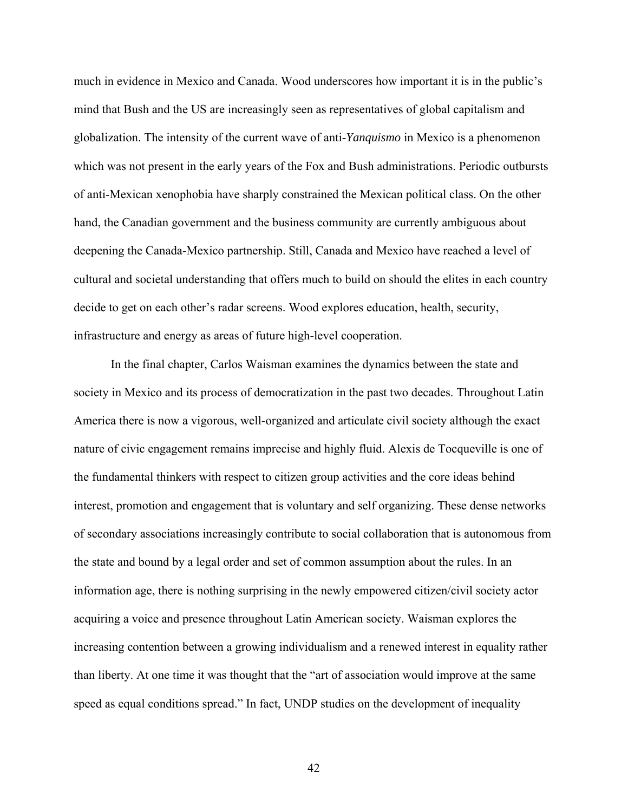much in evidence in Mexico and Canada. Wood underscores how important it is in the public's mind that Bush and the US are increasingly seen as representatives of global capitalism and globalization. The intensity of the current wave of anti-*Yanquismo* in Mexico is a phenomenon which was not present in the early years of the Fox and Bush administrations. Periodic outbursts of anti-Mexican xenophobia have sharply constrained the Mexican political class. On the other hand, the Canadian government and the business community are currently ambiguous about deepening the Canada-Mexico partnership. Still, Canada and Mexico have reached a level of cultural and societal understanding that offers much to build on should the elites in each country decide to get on each other's radar screens. Wood explores education, health, security, infrastructure and energy as areas of future high-level cooperation.

In the final chapter, Carlos Waisman examines the dynamics between the state and society in Mexico and its process of democratization in the past two decades. Throughout Latin America there is now a vigorous, well-organized and articulate civil society although the exact nature of civic engagement remains imprecise and highly fluid. Alexis de Tocqueville is one of the fundamental thinkers with respect to citizen group activities and the core ideas behind interest, promotion and engagement that is voluntary and self organizing. These dense networks of secondary associations increasingly contribute to social collaboration that is autonomous from the state and bound by a legal order and set of common assumption about the rules. In an information age, there is nothing surprising in the newly empowered citizen/civil society actor acquiring a voice and presence throughout Latin American society. Waisman explores the increasing contention between a growing individualism and a renewed interest in equality rather than liberty. At one time it was thought that the "art of association would improve at the same speed as equal conditions spread." In fact, UNDP studies on the development of inequality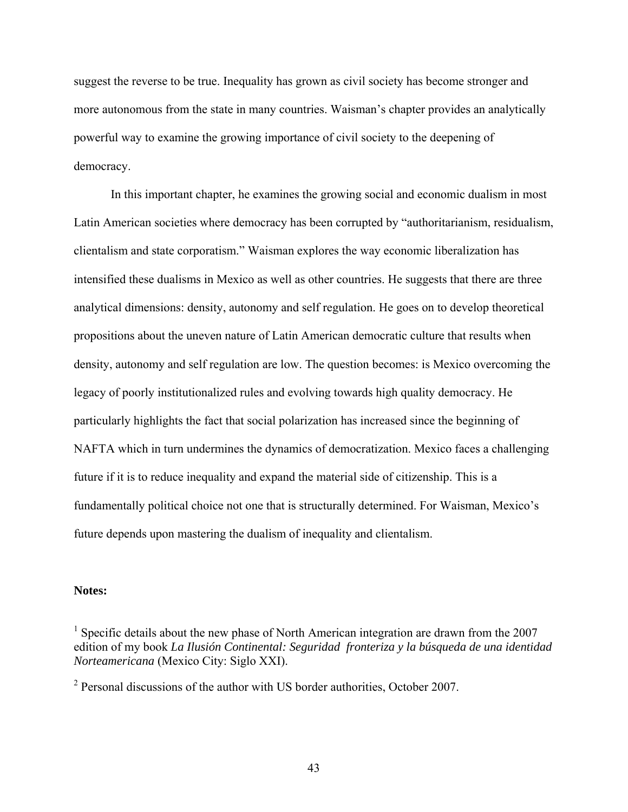suggest the reverse to be true. Inequality has grown as civil society has become stronger and more autonomous from the state in many countries. Waisman's chapter provides an analytically powerful way to examine the growing importance of civil society to the deepening of democracy.

In this important chapter, he examines the growing social and economic dualism in most Latin American societies where democracy has been corrupted by "authoritarianism, residualism, clientalism and state corporatism." Waisman explores the way economic liberalization has intensified these dualisms in Mexico as well as other countries. He suggests that there are three analytical dimensions: density, autonomy and self regulation. He goes on to develop theoretical propositions about the uneven nature of Latin American democratic culture that results when density, autonomy and self regulation are low. The question becomes: is Mexico overcoming the legacy of poorly institutionalized rules and evolving towards high quality democracy. He particularly highlights the fact that social polarization has increased since the beginning of NAFTA which in turn undermines the dynamics of democratization. Mexico faces a challenging future if it is to reduce inequality and expand the material side of citizenship. This is a fundamentally political choice not one that is structurally determined. For Waisman, Mexico's future depends upon mastering the dualism of inequality and clientalism.

# **Notes:**

<sup>&</sup>lt;sup>1</sup> Specific details about the new phase of North American integration are drawn from the  $2007$ edition of my book *La Ilusión Continental: Seguridad fronteriza y la búsqueda de una identidad Norteamericana* (Mexico City: Siglo XXI).

 $2$  Personal discussions of the author with US border authorities, October 2007.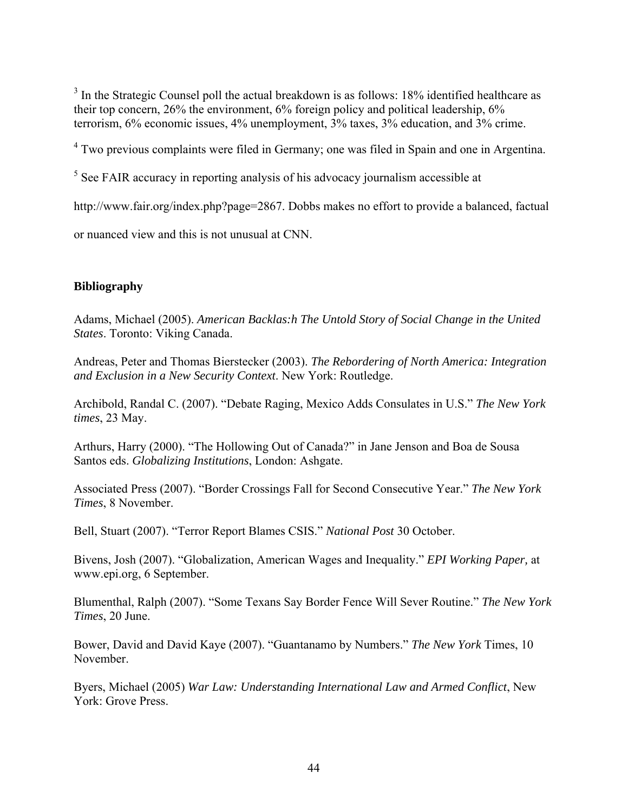$3$  In the Strategic Counsel poll the actual breakdown is as follows: 18% identified healthcare as their top concern, 26% the environment, 6% foreign policy and political leadership, 6% terrorism, 6% economic issues, 4% unemployment, 3% taxes, 3% education, and 3% crime.

<sup>4</sup> Two previous complaints were filed in Germany; one was filed in Spain and one in Argentina.

<sup>5</sup> See FAIR accuracy in reporting analysis of his advocacy journalism accessible at

<http://www.fair.org/index.php?page=2867>. Dobbs makes no effort to provide a balanced, factual

or nuanced view and this is not unusual at CNN.

# **Bibliography**

Adams, Michael (2005). *American Backlas:h The Untold Story of Social Change in the United States*. Toronto: Viking Canada.

Andreas, Peter and Thomas Bierstecker (2003). *The Rebordering of North America: Integration and Exclusion in a New Security Context*. New York: Routledge.

Archibold, Randal C. (2007). "Debate Raging, Mexico Adds Consulates in U.S." *The New York times*, 23 May.

Arthurs, Harry (2000). "The Hollowing Out of Canada?" in Jane Jenson and Boa de Sousa Santos eds. *Globalizing Institutions*, London: Ashgate.

Associated Press (2007). "Border Crossings Fall for Second Consecutive Year." *The New York Times*, 8 November.

Bell, Stuart (2007). "Terror Report Blames CSIS." *National Post* 30 October.

Bivens, Josh (2007). "Globalization, American Wages and Inequality." *EPI Working Paper,* at [www.epi.org,](http://www.epi.org/) 6 September.

Blumenthal, Ralph (2007). "Some Texans Say Border Fence Will Sever Routine." *The New York Times*, 20 June.

Bower, David and David Kaye (2007). "Guantanamo by Numbers." *The New York* Times, 10 November.

Byers, Michael (2005) *War Law: Understanding International Law and Armed Conflict*, New York: Grove Press.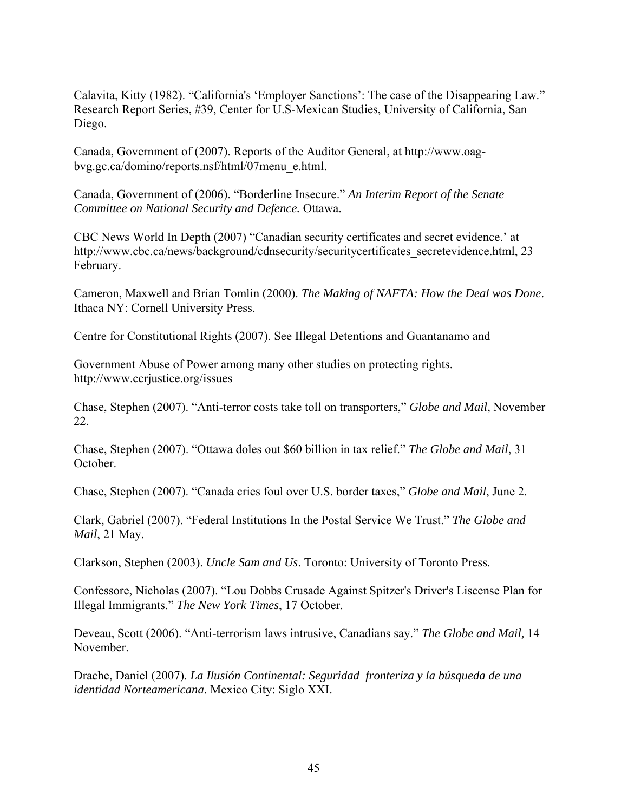Calavita, Kitty (1982). "California's 'Employer Sanctions': The case of the Disappearing Law." Research Report Series, #39, Center for U.S-Mexican Studies, University of California, San Diego.

Canada, Government of (2007). Reports of the Auditor General, at http://www.oagbvg.gc.ca/domino/reports.nsf/html/07menu\_e.html.

Canada, Government of (2006). "Borderline Insecure." *An Interim Report of the Senate Committee on National Security and Defence.* Ottawa.

CBC News World In Depth (2007) "Canadian security certificates and secret evidence.' at http://www.cbc.ca/news/background/cdnsecurity/securitycertificates\_secretevidence.html, 23 February.

Cameron, Maxwell and Brian Tomlin (2000). *The Making of NAFTA: How the Deal was Done*. Ithaca NY: Cornell University Press.

Centre for Constitutional Rights (2007). See Illegal Detentions and Guantanamo and

Government Abuse of Power among many other studies on protecting rights. http://www.ccrjustice.org/issues

Chase, Stephen (2007). "Anti-terror costs take toll on transporters," *Globe and Mail*, November 22.

Chase, Stephen (2007). "Ottawa doles out \$60 billion in tax relief." *The Globe and Mail*, 31 October.

Chase, Stephen (2007). "Canada cries foul over U.S. border taxes," *Globe and Mail*, June 2.

Clark, Gabriel (2007). "Federal Institutions In the Postal Service We Trust." *The Globe and Mail*, 21 May.

Clarkson, Stephen (2003). *Uncle Sam and Us*. Toronto: University of Toronto Press.

Confessore, Nicholas (2007). "Lou Dobbs Crusade Against Spitzer's Driver's Liscense Plan for Illegal Immigrants." *The New York Times*, 17 October.

Deveau, Scott (2006). "Anti-terrorism laws intrusive, Canadians say." *The Globe and Mail,* 14 November.

Drache, Daniel (2007). *La Ilusión Continental: Seguridad fronteriza y la búsqueda de una identidad Norteamericana*. Mexico City: Siglo XXI.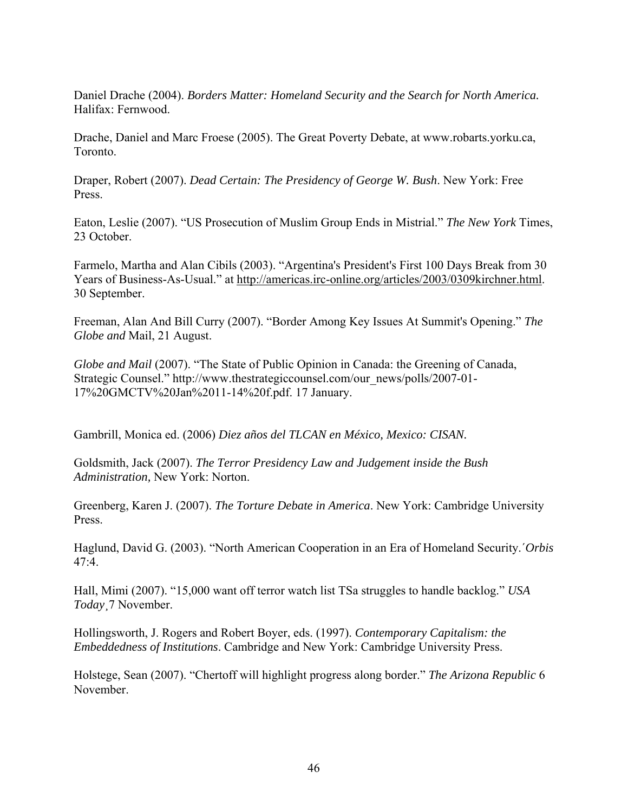Daniel Drache (2004). *Borders Matter: Homeland Security and the Search for North America.* Halifax: Fernwood.

Drache, Daniel and Marc Froese (2005). The Great Poverty Debate, at [www.robarts.yorku.ca,](http://www.robarts.yorku.ca/) Toronto.

Draper, Robert (2007). *Dead Certain: The Presidency of George W. Bush*. New York: Free Press.

Eaton, Leslie (2007). "US Prosecution of Muslim Group Ends in Mistrial." *The New York* Times, 23 October.

Farmelo, Martha and Alan Cibils (2003). "Argentina's President's First 100 Days Break from 30 Years of Business-As-Usual." at<http://americas.irc-online.org/articles/2003/0309kirchner.html>. 30 September.

Freeman, Alan And Bill Curry (2007). "Border Among Key Issues At Summit's Opening." *The Globe and* Mail, 21 August.

*Globe and Mail* (2007). "The State of Public Opinion in Canada: the Greening of Canada, Strategic Counsel." [http://www.thestrategiccounsel.com/our\\_news/polls/2007-01-](http://www.thestrategiccounsel.com/our_news/polls/2007-01-17%20GMCTV%20Jan%2011-14%20f.pdf) [17%20GMCTV%20Jan%2011-14%20f.pdf](http://www.thestrategiccounsel.com/our_news/polls/2007-01-17%20GMCTV%20Jan%2011-14%20f.pdf). 17 January.

Gambrill, Monica ed. (2006) *Diez años del TLCAN en México, Mexico: CISAN.*

Goldsmith, Jack (2007). *The Terror Presidency Law and Judgement inside the Bush Administration,* New York: Norton.

Greenberg, Karen J. (2007). *The Torture Debate in America*. New York: Cambridge University Press.

Haglund, David G. (2003). "North American Cooperation in an Era of Homeland Security.´*Orbis* 47:4.

Hall, Mimi (2007). "15,000 want off terror watch list TSa struggles to handle backlog." *USA Today*¸7 November.

Hollingsworth, J. Rogers and Robert Boyer, eds. (1997). *Contemporary Capitalism: the Embeddedness of Institutions*. Cambridge and New York: Cambridge University Press.

Holstege, Sean (2007). "Chertoff will highlight progress along border." *The Arizona Republic* 6 November.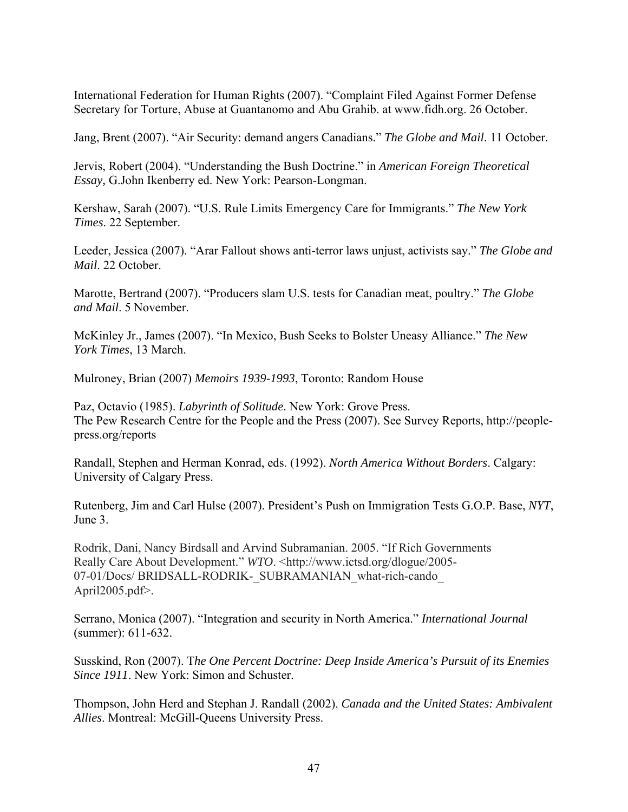International Federation for Human Rights (2007). "Complaint Filed Against Former Defense Secretary for Torture, Abuse at Guantanomo and Abu Grahib. at [www.fidh.org.](http://www.fidh.org/) 26 October.

Jang, Brent (2007). "Air Security: demand angers Canadians." *The Globe and Mail*. 11 October.

Jervis, Robert (2004). "Understanding the Bush Doctrine." in *American Foreign Theoretical Essay,* G.John Ikenberry ed. New York: Pearson-Longman.

Kershaw, Sarah (2007). "U.S. Rule Limits Emergency Care for Immigrants." *The New York Times*. 22 September.

Leeder, Jessica (2007). "Arar Fallout shows anti-terror laws unjust, activists say." *The Globe and Mail*. 22 October.

Marotte, Bertrand (2007). "Producers slam U.S. tests for Canadian meat, poultry." *The Globe and Mail*. 5 November.

McKinley Jr., James (2007). "In Mexico, Bush Seeks to Bolster Uneasy Alliance." *The New York Times*, 13 March.

Mulroney, Brian (2007) *Memoirs 1939-1993*, Toronto: Random House

Paz, Octavio (1985). *Labyrinth of Solitude*. New York: Grove Press. The Pew Research Centre for the People and the Press (2007). See Survey Reports, http://peoplepress.org/reports

Randall, Stephen and Herman Konrad, eds. (1992). *North America Without Borders*. Calgary: University of Calgary Press.

Rutenberg, Jim and Carl Hulse (2007). President's Push on Immigration Tests G.O.P. Base, *NYT*, June 3.

Rodrik, Dani, Nancy Birdsall and Arvind Subramanian. 2005. "If Rich Governments Really Care About Development." *WTO*. <http://www.ictsd.org/dlogue/2005- 07-01/Docs/ BRIDSALL-RODRIK-\_SUBRAMANIAN\_what-rich-cando April2005.pdf>.

Serrano, Monica (2007). "Integration and security in North America." *International Journal*  (summer): 611-632.

Susskind, Ron (2007). T*he One Percent Doctrine: Deep Inside America's Pursuit of its Enemies Since 1911*. New York: Simon and Schuster.

Thompson, John Herd and Stephan J. Randall (2002). *Canada and the United States: Ambivalent Allies*. Montreal: McGill-Queens University Press.